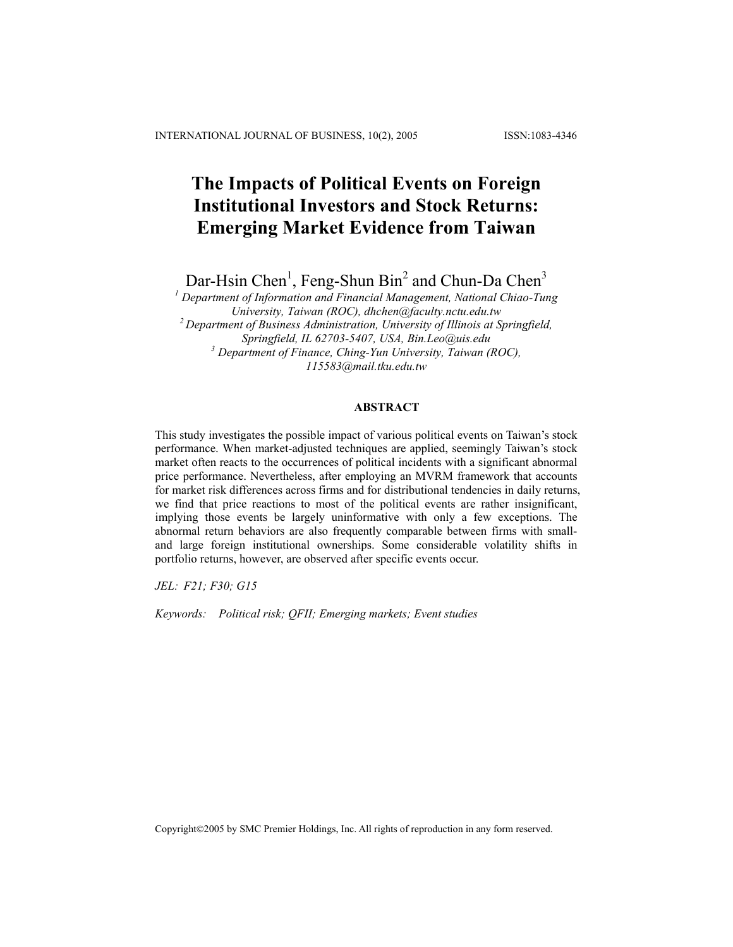# **The Impacts of Political Events on Foreign Institutional Investors and Stock Returns: Emerging Market Evidence from Taiwan**

Dar-Hsin Chen<sup>1</sup>, Feng-Shun Bin<sup>2</sup> and Chun-Da Chen<sup>3</sup>

<sup>1</sup> Department of Information and Financial Management, National Chiao-Tung *University, Taiwan (ROC), [dhchen@faculty.nctu.edu.tw](mailto:dhchen@faculty.nctu.edu.tw) 2 Department of Business Administration, University of Illinois at Springfield, Springfield, IL 62703-5407, USA, [Bin.Leo@uis.edu](mailto:Bin.Feng-Shun@uis.edu) <sup>3</sup> Department of Finance, Ching-Yun University, Taiwan (ROC), [115583@mail.tku.edu.tw](mailto:115583@mail.tku.edu.tw)*

## **ABSTRACT**

This study investigates the possible impact of various political events on Taiwan's stock performance. When market-adjusted techniques are applied, seemingly Taiwan's stock market often reacts to the occurrences of political incidents with a significant abnormal price performance. Nevertheless, after employing an MVRM framework that accounts for market risk differences across firms and for distributional tendencies in daily returns, we find that price reactions to most of the political events are rather insignificant, implying those events be largely uninformative with only a few exceptions. The abnormal return behaviors are also frequently comparable between firms with smalland large foreign institutional ownerships. Some considerable volatility shifts in portfolio returns, however, are observed after specific events occur.

*JEL: F21; F30; G15* 

*Keywords: Political risk; QFII; Emerging markets; Event studies* 

Copyright©2005 by SMC Premier Holdings, Inc. All rights of reproduction in any form reserved.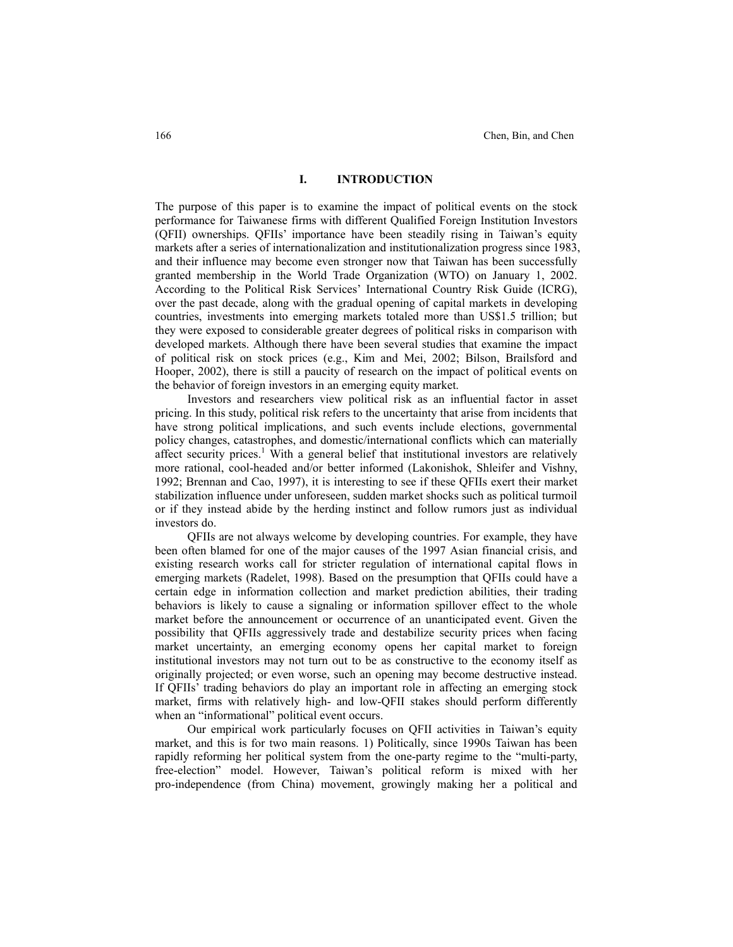### **I. INTRODUCTION**

The purpose of this paper is to examine the impact of political events on the stock performance for Taiwanese firms with different Qualified Foreign Institution Investors (QFII) ownerships. QFIIs' importance have been steadily rising in Taiwan's equity markets after a series of internationalization and institutionalization progress since 1983, and their influence may become even stronger now that Taiwan has been successfully granted membership in the World Trade Organization (WTO) on January 1, 2002. According to the Political Risk Services' International Country Risk Guide (ICRG), over the past decade, along with the gradual opening of capital markets in developing countries, investments into emerging markets totaled more than US\$1.5 trillion; but they were exposed to considerable greater degrees of political risks in comparison with developed markets. Although there have been several studies that examine the impact of political risk on stock prices (e.g., Kim and Mei, 2002; Bilson, Brailsford and Hooper, 2002), there is still a paucity of research on the impact of political events on the behavior of foreign investors in an emerging equity market.

Investors and researchers view political risk as an influential factor in asset pricing. In this study, political risk refers to the uncertainty that arise from incidents that have strong political implications, and such events include elections, governmental policy changes, catastrophes, and domestic/international conflicts which can materially affect security prices.<sup>1</sup> With a general belief that institutional investors are relatively more rational, cool-headed and/or better informed (Lakonishok, Shleifer and Vishny, 1992; Brennan and Cao, 1997), it is interesting to see if these QFIIs exert their market stabilization influence under unforeseen, sudden market shocks such as political turmoil or if they instead abide by the herding instinct and follow rumors just as individual investors do.

QFIIs are not always welcome by developing countries. For example, they have been often blamed for one of the major causes of the 1997 Asian financial crisis, and existing research works call for stricter regulation of international capital flows in emerging markets (Radelet, 1998). Based on the presumption that QFIIs could have a certain edge in information collection and market prediction abilities, their trading behaviors is likely to cause a signaling or information spillover effect to the whole market before the announcement or occurrence of an unanticipated event. Given the possibility that QFIIs aggressively trade and destabilize security prices when facing market uncertainty, an emerging economy opens her capital market to foreign institutional investors may not turn out to be as constructive to the economy itself as originally projected; or even worse, such an opening may become destructive instead. If QFIIs' trading behaviors do play an important role in affecting an emerging stock market, firms with relatively high- and low-QFII stakes should perform differently when an "informational" political event occurs.

Our empirical work particularly focuses on QFII activities in Taiwan's equity market, and this is for two main reasons. 1) Politically, since 1990s Taiwan has been rapidly reforming her political system from the one-party regime to the "multi-party, free-election" model. However, Taiwan's political reform is mixed with her pro-independence (from China) movement, growingly making her a political and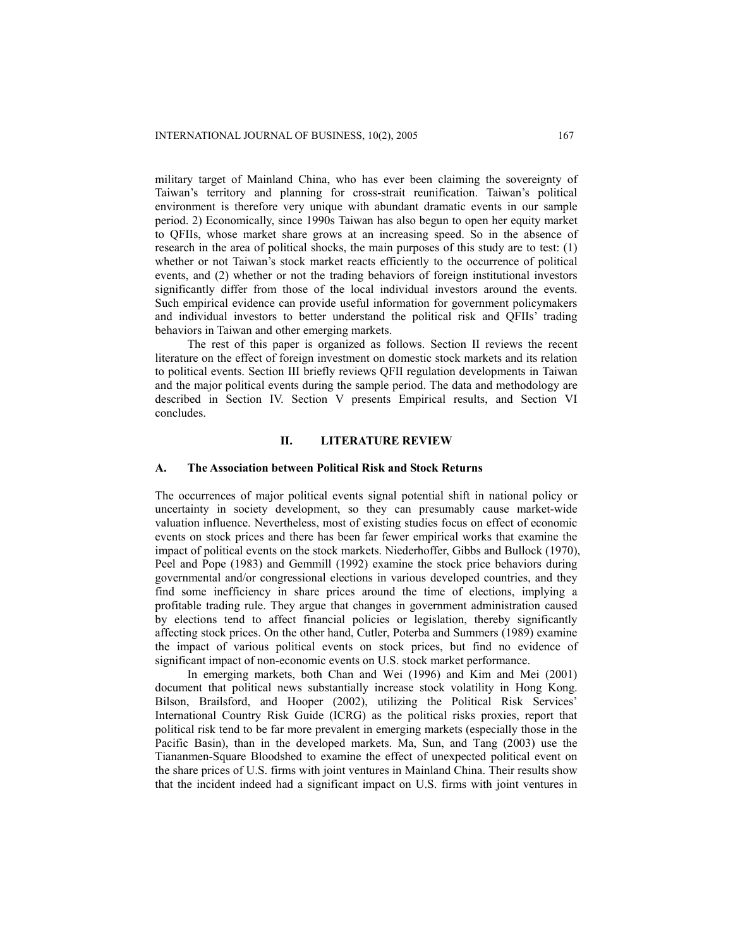military target of Mainland China, who has ever been claiming the sovereignty of Taiwan's territory and planning for cross-strait reunification. Taiwan's political environment is therefore very unique with abundant dramatic events in our sample period. 2) Economically, since 1990s Taiwan has also begun to open her equity market to QFIIs, whose market share grows at an increasing speed. So in the absence of research in the area of political shocks, the main purposes of this study are to test: (1) whether or not Taiwan's stock market reacts efficiently to the occurrence of political events, and (2) whether or not the trading behaviors of foreign institutional investors significantly differ from those of the local individual investors around the events. Such empirical evidence can provide useful information for government policymakers and individual investors to better understand the political risk and QFIIs' trading behaviors in Taiwan and other emerging markets.

The rest of this paper is organized as follows. Section II reviews the recent literature on the effect of foreign investment on domestic stock markets and its relation to political events. Section III briefly reviews QFII regulation developments in Taiwan and the major political events during the sample period. The data and methodology are described in Section IV. Section V presents Empirical results, and Section VI concludes.

## **II. LITERATURE REVIEW**

## **A. The Association between Political Risk and Stock Returns**

The occurrences of major political events signal potential shift in national policy or uncertainty in society development, so they can presumably cause market-wide valuation influence. Nevertheless, most of existing studies focus on effect of economic events on stock prices and there has been far fewer empirical works that examine the impact of political events on the stock markets. Niederhoffer, Gibbs and Bullock (1970), Peel and Pope (1983) and Gemmill (1992) examine the stock price behaviors during governmental and/or congressional elections in various developed countries, and they find some inefficiency in share prices around the time of elections, implying a profitable trading rule. They argue that changes in government administration caused by elections tend to affect financial policies or legislation, thereby significantly affecting stock prices. On the other hand, Cutler, Poterba and Summers (1989) examine the impact of various political events on stock prices, but find no evidence of significant impact of non-economic events on U.S. stock market performance.

In emerging markets, both Chan and Wei (1996) and Kim and Mei (2001) document that political news substantially increase stock volatility in Hong Kong. Bilson, Brailsford, and Hooper (2002), utilizing the Political Risk Services' International Country Risk Guide (ICRG) as the political risks proxies, report that political risk tend to be far more prevalent in emerging markets (especially those in the Pacific Basin), than in the developed markets. Ma, Sun, and Tang (2003) use the Tiananmen-Square Bloodshed to examine the effect of unexpected political event on the share prices of U.S. firms with joint ventures in Mainland China. Their results show that the incident indeed had a significant impact on U.S. firms with joint ventures in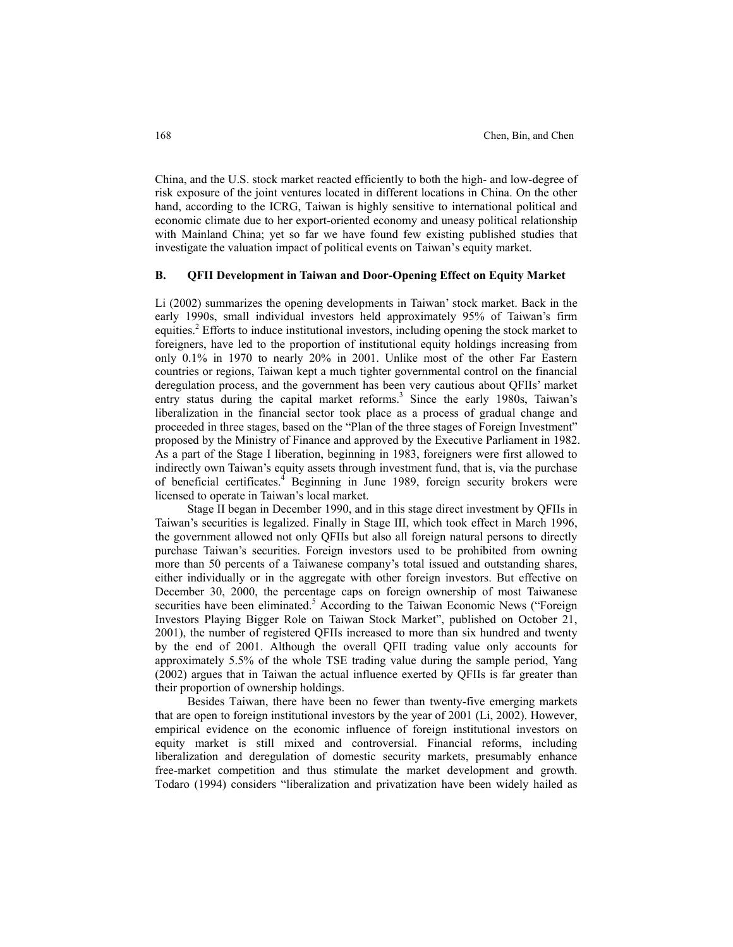China, and the U.S. stock market reacted efficiently to both the high- and low-degree of risk exposure of the joint ventures located in different locations in China. On the other hand, according to the ICRG, Taiwan is highly sensitive to international political and economic climate due to her export-oriented economy and uneasy political relationship with Mainland China; yet so far we have found few existing published studies that investigate the valuation impact of political events on Taiwan's equity market.

## **B. QFII Development in Taiwan and Door-Opening Effect on Equity Market**

Li (2002) summarizes the opening developments in Taiwan' stock market. Back in the early 1990s, small individual investors held approximately 95% of Taiwan's firm equities.<sup>2</sup> Efforts to induce institutional investors, including opening the stock market to foreigners, have led to the proportion of institutional equity holdings increasing from only 0.1% in 1970 to nearly 20% in 2001. Unlike most of the other Far Eastern countries or regions, Taiwan kept a much tighter governmental control on the financial deregulation process, and the government has been very cautious about QFIIs' market entry status during the capital market reforms.<sup>3</sup> Since the early 1980s, Taiwan's liberalization in the financial sector took place as a process of gradual change and proceeded in three stages, based on the "Plan of the three stages of Foreign Investment" proposed by the Ministry of Finance and approved by the Executive Parliament in 1982. As a part of the Stage I liberation, beginning in 1983, foreigners were first allowed to indirectly own Taiwan's equity assets through investment fund, that is, via the purchase of beneficial certificates.<sup>4</sup> Beginning in June 1989, foreign security brokers were licensed to operate in Taiwan's local market.

Stage II began in December 1990, and in this stage direct investment by QFIIs in Taiwan's securities is legalized. Finally in Stage III, which took effect in March 1996, the government allowed not only QFIIs but also all foreign natural persons to directly purchase Taiwan's securities. Foreign investors used to be prohibited from owning more than 50 percents of a Taiwanese company's total issued and outstanding shares, either individually or in the aggregate with other foreign investors. But effective on December 30, 2000, the percentage caps on foreign ownership of most Taiwanese securities have been eliminated.<sup>5</sup> According to the Taiwan Economic News ("Foreign Investors Playing Bigger Role on Taiwan Stock Market", published on October 21, 2001), the number of registered QFIIs increased to more than six hundred and twenty by the end of 2001. Although the overall QFII trading value only accounts for approximately 5.5% of the whole TSE trading value during the sample period, Yang (2002) argues that in Taiwan the actual influence exerted by QFIIs is far greater than their proportion of ownership holdings.

Besides Taiwan, there have been no fewer than twenty-five emerging markets that are open to foreign institutional investors by the year of 2001 (Li, 2002). However, empirical evidence on the economic influence of foreign institutional investors on equity market is still mixed and controversial. Financial reforms, including liberalization and deregulation of domestic security markets, presumably enhance free-market competition and thus stimulate the market development and growth. Todaro (1994) considers "liberalization and privatization have been widely hailed as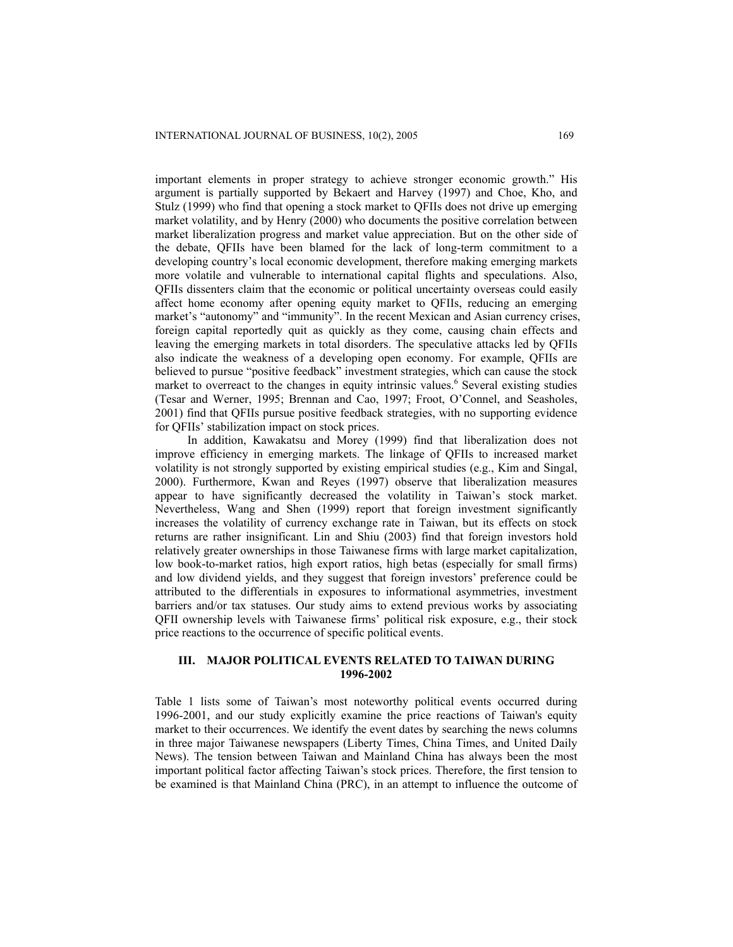important elements in proper strategy to achieve stronger economic growth." His argument is partially supported by Bekaert and Harvey (1997) and Choe, Kho, and Stulz (1999) who find that opening a stock market to QFIIs does not drive up emerging market volatility, and by Henry (2000) who documents the positive correlation between market liberalization progress and market value appreciation. But on the other side of the debate, QFIIs have been blamed for the lack of long-term commitment to a developing country's local economic development, therefore making emerging markets more volatile and vulnerable to international capital flights and speculations. Also, QFIIs dissenters claim that the economic or political uncertainty overseas could easily affect home economy after opening equity market to QFIIs, reducing an emerging market's "autonomy" and "immunity". In the recent Mexican and Asian currency crises, foreign capital reportedly quit as quickly as they come, causing chain effects and leaving the emerging markets in total disorders. The speculative attacks led by QFIIs also indicate the weakness of a developing open economy. For example, QFIIs are believed to pursue "positive feedback" investment strategies, which can cause the stock market to overreact to the changes in equity intrinsic values.<sup>6</sup> Several existing studies (Tesar and Werner, 1995; Brennan and Cao, 1997; Froot, O'Connel, and Seasholes, 2001) find that QFIIs pursue positive feedback strategies, with no supporting evidence for QFIIs' stabilization impact on stock prices.

In addition, Kawakatsu and Morey (1999) find that liberalization does not improve efficiency in emerging markets. The linkage of QFIIs to increased market volatility is not strongly supported by existing empirical studies (e.g., Kim and Singal, 2000). Furthermore, Kwan and Reyes (1997) observe that liberalization measures appear to have significantly decreased the volatility in Taiwan's stock market. Nevertheless, Wang and Shen (1999) report that foreign investment significantly increases the volatility of currency exchange rate in Taiwan, but its effects on stock returns are rather insignificant. Lin and Shiu (2003) find that foreign investors hold relatively greater ownerships in those Taiwanese firms with large market capitalization, low book-to-market ratios, high export ratios, high betas (especially for small firms) and low dividend yields, and they suggest that foreign investors' preference could be attributed to the differentials in exposures to informational asymmetries, investment barriers and/or tax statuses. Our study aims to extend previous works by associating QFII ownership levels with Taiwanese firms' political risk exposure, e.g., their stock price reactions to the occurrence of specific political events.

## **III. MAJOR POLITICAL EVENTS RELATED TO TAIWAN DURING 1996-2002**

Table 1 lists some of Taiwan's most noteworthy political events occurred during 1996-2001, and our study explicitly examine the price reactions of Taiwan's equity market to their occurrences. We identify the event dates by searching the news columns in three major Taiwanese newspapers (Liberty Times, China Times, and United Daily News). The tension between Taiwan and Mainland China has always been the most important political factor affecting Taiwan's stock prices. Therefore, the first tension to be examined is that Mainland China (PRC), in an attempt to influence the outcome of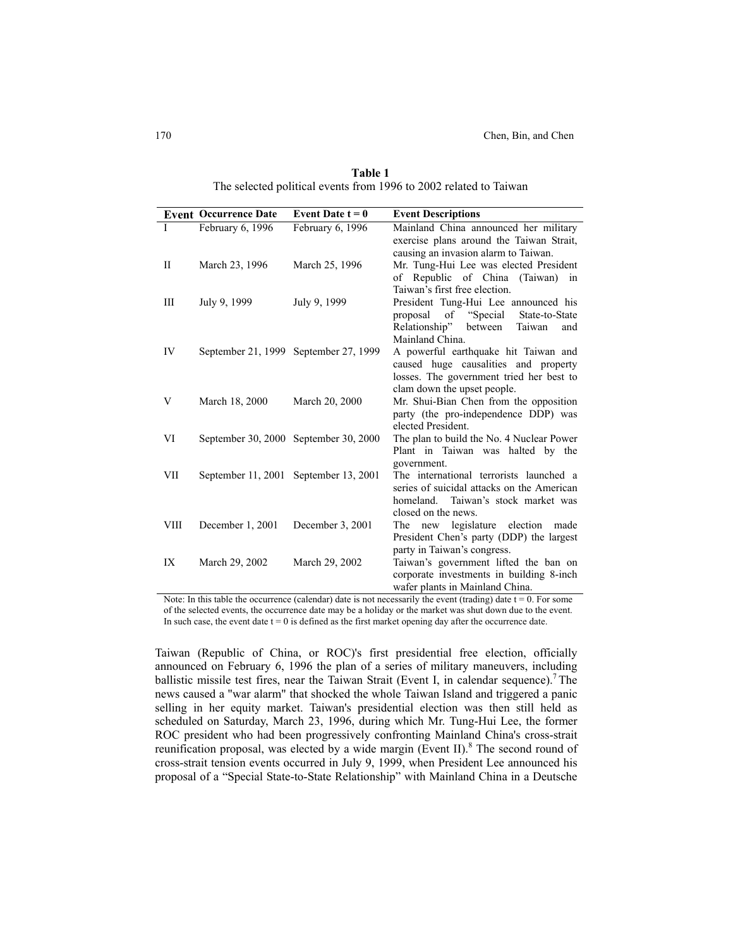|              | <b>Event Occurrence Date</b> | Event Date $t = 0$                    | <b>Event Descriptions</b>                                                                                                                                          |
|--------------|------------------------------|---------------------------------------|--------------------------------------------------------------------------------------------------------------------------------------------------------------------|
| L            | February 6, 1996             | February 6, 1996                      | Mainland China announced her military<br>exercise plans around the Taiwan Strait,                                                                                  |
| $\mathbf{I}$ | March 23, 1996               | March 25, 1996                        | causing an invasion alarm to Taiwan.<br>Mr. Tung-Hui Lee was elected President<br>of Republic of China (Taiwan)<br>in<br>Taiwan's first free election.             |
| Ш            | July 9, 1999                 | July 9, 1999                          | President Tung-Hui Lee announced his<br>of "Special"<br>State-to-State<br>proposal<br>Relationship" between<br>Taiwan<br>and                                       |
| IV           |                              | September 21, 1999 September 27, 1999 | Mainland China.<br>A powerful earthquake hit Taiwan and<br>caused huge causalities and property<br>losses. The government tried her best to                        |
| V            | March 18, 2000               | March 20, 2000                        | clam down the upset people.<br>Mr. Shui-Bian Chen from the opposition<br>party (the pro-independence DDP) was<br>elected President.                                |
| VI           |                              | September 30, 2000 September 30, 2000 | The plan to build the No. 4 Nuclear Power<br>Plant in Taiwan was halted by the                                                                                     |
| VІІ          |                              | September 11, 2001 September 13, 2001 | government.<br>The international terrorists launched a<br>series of suicidal attacks on the American<br>homeland. Taiwan's stock market was<br>closed on the news. |
| VIII         | December 1, 2001             | December 3, 2001                      | The new legislature election<br>made<br>President Chen's party (DDP) the largest<br>party in Taiwan's congress.                                                    |
| IX           | March 29, 2002               | March 29, 2002                        | Taiwan's government lifted the ban on<br>corporate investments in building 8-inch<br>wafer plants in Mainland China.                                               |

**Table 1** The selected political events from 1996 to 2002 related to Taiwan

Note: In this table the occurrence (calendar) date is not necessarily the event (trading) date  $t = 0$ . For some of the selected events, the occurrence date may be a holiday or the market was shut down due to the event. In such case, the event date  $t = 0$  is defined as the first market opening day after the occurrence date.

Taiwan (Republic of China, or ROC)'s first presidential free election, officially announced on February 6, 1996 the plan of a series of military maneuvers, including ballistic missile test fires, near the Taiwan Strait (Event I, in calendar sequence).<sup>7</sup> The news caused a "war alarm" that shocked the whole Taiwan Island and triggered a panic selling in her equity market. Taiwan's presidential election was then still held as scheduled on Saturday, March 23, 1996, during which Mr. Tung-Hui Lee, the former ROC president who had been progressively confronting Mainland China's cross-strait reunification proposal, was elected by a wide margin (Event II). $8$  The second round of cross-strait tension events occurred in July 9, 1999, when President Lee announced his proposal of a "Special State-to-State Relationship" with Mainland China in a Deutsche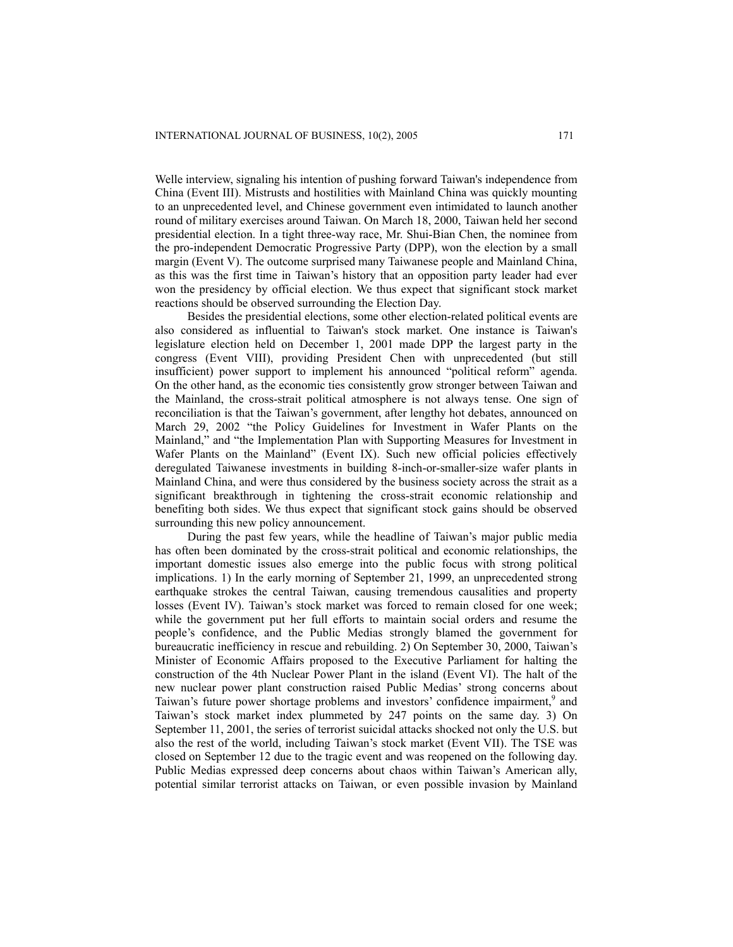Welle interview, signaling his intention of pushing forward Taiwan's independence from China (Event III). Mistrusts and hostilities with Mainland China was quickly mounting to an unprecedented level, and Chinese government even intimidated to launch another round of military exercises around Taiwan. On March 18, 2000, Taiwan held her second presidential election. In a tight three-way race, Mr. Shui-Bian Chen, the nominee from the pro-independent Democratic Progressive Party (DPP), won the election by a small margin (Event V). The outcome surprised many Taiwanese people and Mainland China, as this was the first time in Taiwan's history that an opposition party leader had ever won the presidency by official election. We thus expect that significant stock market reactions should be observed surrounding the Election Day.

Besides the presidential elections, some other election-related political events are also considered as influential to Taiwan's stock market. One instance is Taiwan's legislature election held on December 1, 2001 made DPP the largest party in the congress (Event VIII), providing President Chen with unprecedented (but still insufficient) power support to implement his announced "political reform" agenda. On the other hand, as the economic ties consistently grow stronger between Taiwan and the Mainland, the cross-strait political atmosphere is not always tense. One sign of reconciliation is that the Taiwan's government, after lengthy hot debates, announced on March 29, 2002 "the Policy Guidelines for Investment in Wafer Plants on the Mainland," and "the Implementation Plan with Supporting Measures for Investment in Wafer Plants on the Mainland" (Event IX). Such new official policies effectively deregulated Taiwanese investments in building 8-inch-or-smaller-size wafer plants in Mainland China, and were thus considered by the business society across the strait as a significant breakthrough in tightening the cross-strait economic relationship and benefiting both sides. We thus expect that significant stock gains should be observed surrounding this new policy announcement.

During the past few years, while the headline of Taiwan's major public media has often been dominated by the cross-strait political and economic relationships, the important domestic issues also emerge into the public focus with strong political implications. 1) In the early morning of September 21, 1999, an unprecedented strong earthquake strokes the central Taiwan, causing tremendous causalities and property losses (Event IV). Taiwan's stock market was forced to remain closed for one week; while the government put her full efforts to maintain social orders and resume the people's confidence, and the Public Medias strongly blamed the government for bureaucratic inefficiency in rescue and rebuilding. 2) On September 30, 2000, Taiwan's Minister of Economic Affairs proposed to the Executive Parliament for halting the construction of the 4th Nuclear Power Plant in the island (Event VI). The halt of the new nuclear power plant construction raised Public Medias' strong concerns about Taiwan's future power shortage problems and investors' confidence impairment,<sup>9</sup> and Taiwan's stock market index plummeted by 247 points on the same day. 3) On September 11, 2001, the series of terrorist suicidal attacks shocked not only the U.S. but also the rest of the world, including Taiwan's stock market (Event VII). The TSE was closed on September 12 due to the tragic event and was reopened on the following day. Public Medias expressed deep concerns about chaos within Taiwan's American ally, potential similar terrorist attacks on Taiwan, or even possible invasion by Mainland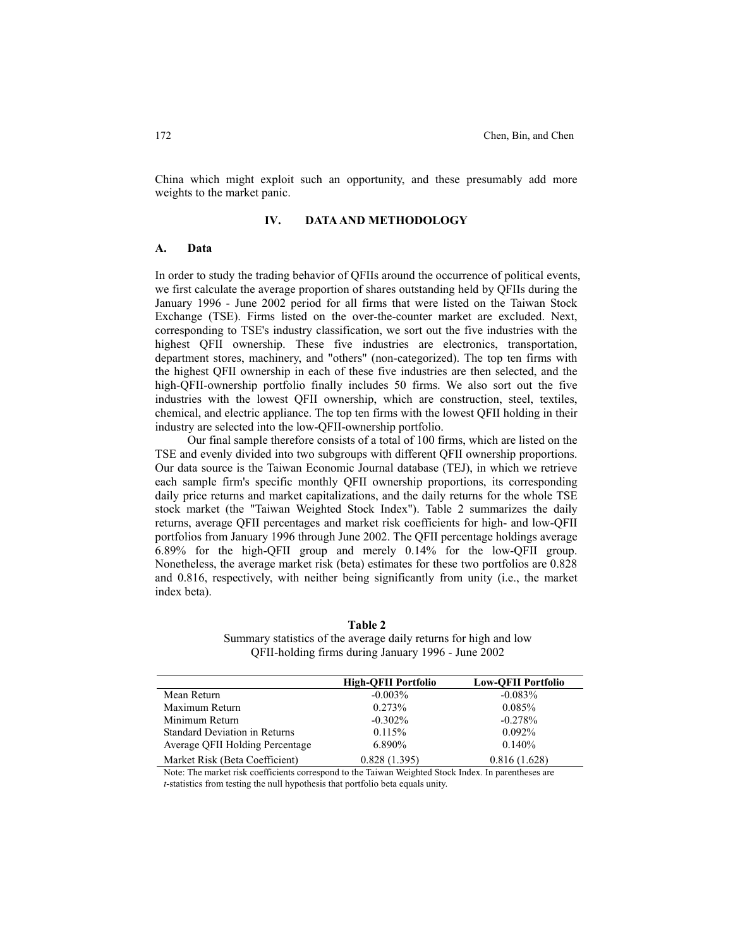China which might exploit such an opportunity, and these presumably add more weights to the market panic.

#### **IV. DATA AND METHODOLOGY**

#### **A. Data**

In order to study the trading behavior of QFIIs around the occurrence of political events, we first calculate the average proportion of shares outstanding held by QFIIs during the January 1996 - June 2002 period for all firms that were listed on the Taiwan Stock Exchange (TSE). Firms listed on the over-the-counter market are excluded. Next, corresponding to TSE's industry classification, we sort out the five industries with the highest QFII ownership. These five industries are electronics, transportation, department stores, machinery, and "others" (non-categorized). The top ten firms with the highest QFII ownership in each of these five industries are then selected, and the high-QFII-ownership portfolio finally includes 50 firms. We also sort out the five industries with the lowest QFII ownership, which are construction, steel, textiles, chemical, and electric appliance. The top ten firms with the lowest QFII holding in their industry are selected into the low-QFII-ownership portfolio.

Our final sample therefore consists of a total of 100 firms, which are listed on the TSE and evenly divided into two subgroups with different QFII ownership proportions. Our data source is the Taiwan Economic Journal database (TEJ), in which we retrieve each sample firm's specific monthly QFII ownership proportions, its corresponding daily price returns and market capitalizations, and the daily returns for the whole TSE stock market (the "Taiwan Weighted Stock Index"). Table 2 summarizes the daily returns, average QFII percentages and market risk coefficients for high- and low-QFII portfolios from January 1996 through June 2002. The QFII percentage holdings average 6.89% for the high-QFII group and merely 0.14% for the low-QFII group. Nonetheless, the average market risk (beta) estimates for these two portfolios are 0.828 and 0.816, respectively, with neither being significantly from unity (i.e., the market index beta).

**High-QFII Portfolio Low-QFII Portfolio**  Mean Return  $-0.003\%$  -0.083% Maximum Return 0.273% 0.085% Minimum Return  $-0.302\%$  -0.278% Standard Deviation in Returns  $0.115\%$  0.092% Average QFII Holding Percentage 6.890% 0.140% Market Risk (Beta Coefficient) 0.828 (1.395) 0.816 (1.628)

**Table 2** Summary statistics of the average daily returns for high and low QFII-holding firms during January 1996 - June 2002

Note: The market risk coefficients correspond to the Taiwan Weighted Stock Index. In parentheses are *t*-statistics from testing the null hypothesis that portfolio beta equals unity.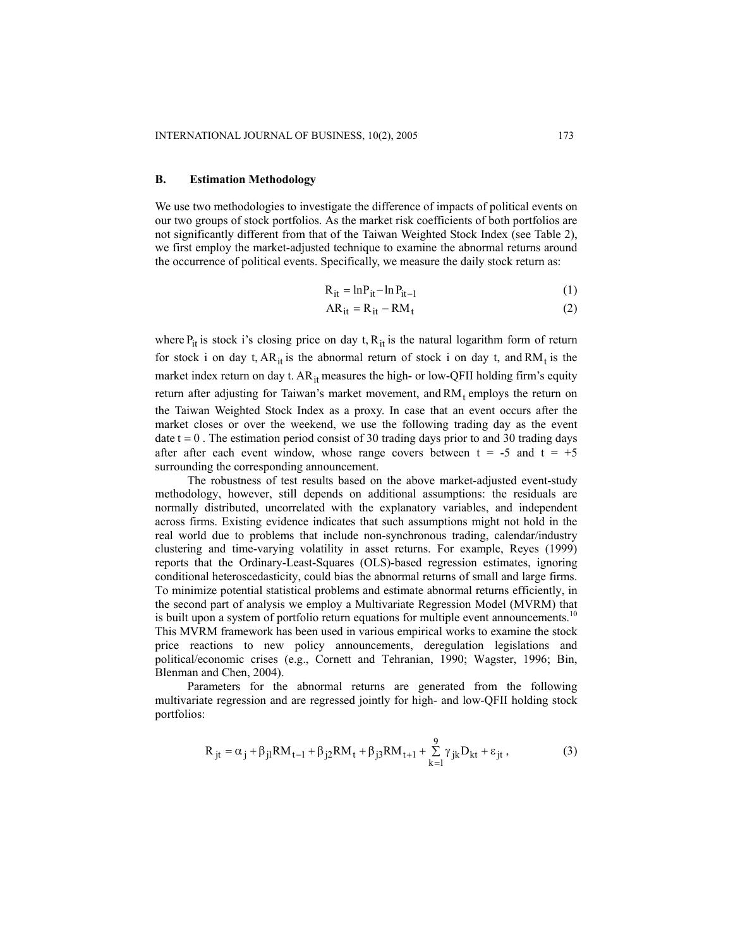#### **B. Estimation Methodology**

We use two methodologies to investigate the difference of impacts of political events on our two groups of stock portfolios. As the market risk coefficients of both portfolios are not significantly different from that of the Taiwan Weighted Stock Index (see Table 2), we first employ the market-adjusted technique to examine the abnormal returns around the occurrence of political events. Specifically, we measure the daily stock return as:

$$
R_{it} = \ln P_{it} - \ln P_{it-1}
$$
 (1)

$$
AR_{it} = R_{it} - RM_t
$$
 (2)

where  $P_{it}$  is stock i's closing price on day t,  $R_{it}$  is the natural logarithm form of return for stock i on day t,  $AR_{it}$  is the abnormal return of stock i on day t, and  $RM_t$  is the market index return on day t.  $AR_{it}$  measures the high- or low-QFII holding firm's equity return after adjusting for Taiwan's market movement, and  $RM_t$  employs the return on the Taiwan Weighted Stock Index as a proxy. In case that an event occurs after the market closes or over the weekend, we use the following trading day as the event date  $t = 0$ . The estimation period consist of 30 trading days prior to and 30 trading days after after each event window, whose range covers between  $t = -5$  and  $t = +5$ surrounding the corresponding announcement.

The robustness of test results based on the above market-adjusted event-study methodology, however, still depends on additional assumptions: the residuals are normally distributed, uncorrelated with the explanatory variables, and independent across firms. Existing evidence indicates that such assumptions might not hold in the real world due to problems that include non-synchronous trading, calendar/industry clustering and time-varying volatility in asset returns. For example, Reyes (1999) reports that the Ordinary-Least-Squares (OLS)-based regression estimates, ignoring conditional heteroscedasticity, could bias the abnormal returns of small and large firms. To minimize potential statistical problems and estimate abnormal returns efficiently, in the second part of analysis we employ a Multivariate Regression Model (MVRM) that is built upon a system of portfolio return equations for multiple event announcements.<sup>10</sup> This MVRM framework has been used in various empirical works to examine the stock price reactions to new policy announcements, deregulation legislations and political/economic crises (e.g., Cornett and Tehranian, 1990; Wagster, 1996; Bin, Blenman and Chen, 2004).

Parameters for the abnormal returns are generated from the following multivariate regression and are regressed jointly for high- and low-QFII holding stock portfolios:

$$
R_{jt} = \alpha_j + \beta_{jl} RM_{t-1} + \beta_{j2} RM_t + \beta_{j3} RM_{t+1} + \sum_{k=1}^{9} \gamma_{jk} D_{kt} + \varepsilon_{jt},
$$
 (3)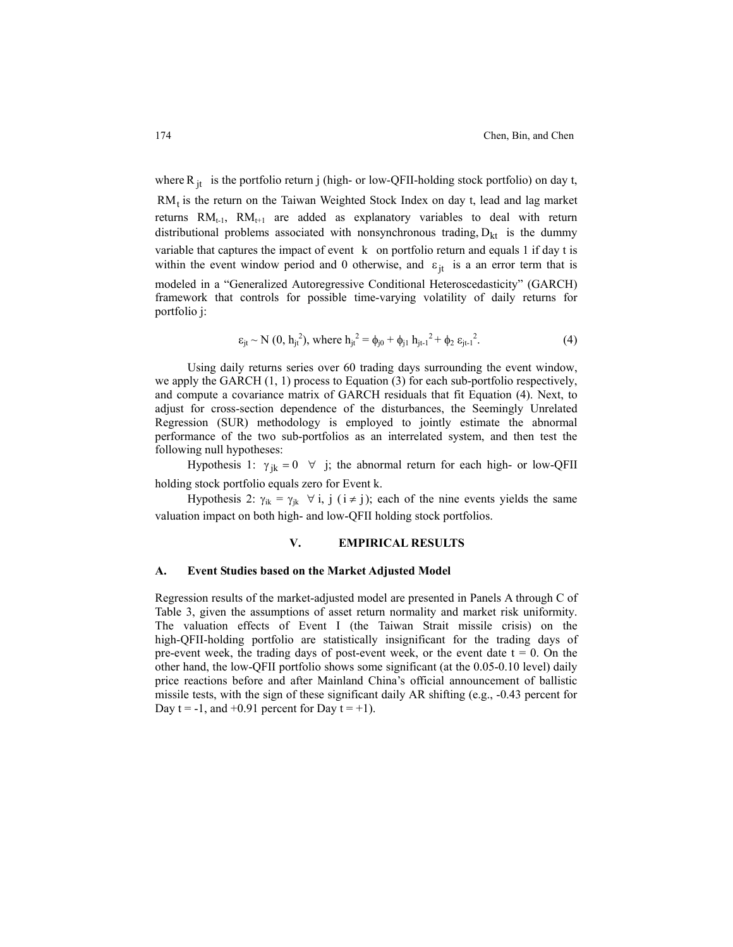where  $R_{jt}$  is the portfolio return j (high- or low-QFII-holding stock portfolio) on day t,  $RM_t$  is the return on the Taiwan Weighted Stock Index on day t, lead and lag market returns  $RM_{t-1}$ ,  $RM_{t+1}$  are added as explanatory variables to deal with return distributional problems associated with nonsynchronous trading,  $D_{kt}$  is the dummy variable that captures the impact of event k on portfolio return and equals 1 if day t is within the event window period and 0 otherwise, and  $\varepsilon_{jt}$  is a an error term that is modeled in a "Generalized Autoregressive Conditional Heteroscedasticity" (GARCH) framework that controls for possible time-varying volatility of daily returns for portfolio j:

$$
\varepsilon_{jt} \sim N(0, h_{jt}^2), \text{ where } h_{jt}^2 = \phi_{j0} + \phi_{j1} h_{jt-1}^2 + \phi_2 \varepsilon_{jt-1}^2. \tag{4}
$$

Using daily returns series over 60 trading days surrounding the event window, we apply the GARCH (1, 1) process to Equation (3) for each sub-portfolio respectively, and compute a covariance matrix of GARCH residuals that fit Equation (4). Next, to adjust for cross-section dependence of the disturbances, the Seemingly Unrelated Regression (SUR) methodology is employed to jointly estimate the abnormal performance of the two sub-portfolios as an interrelated system, and then test the following null hypotheses:

Hypothesis 1:  $\gamma_{ik} = 0 \quad \forall j$ ; the abnormal return for each high- or low-QFII holding stock portfolio equals zero for Event k.

Hypothesis 2:  $\gamma_{ik} = \gamma_{jk} \ \ \forall \ i, j \ (i \neq j)$ ; each of the nine events yields the same valuation impact on both high- and low-QFII holding stock portfolios.

#### **V. EMPIRICAL RESULTS**

#### **A. Event Studies based on the Market Adjusted Model**

Regression results of the market-adjusted model are presented in Panels A through C of Table 3, given the assumptions of asset return normality and market risk uniformity. The valuation effects of Event I (the Taiwan Strait missile crisis) on the high-QFII-holding portfolio are statistically insignificant for the trading days of pre-event week, the trading days of post-event week, or the event date  $t = 0$ . On the other hand, the low-QFII portfolio shows some significant (at the 0.05-0.10 level) daily price reactions before and after Mainland China's official announcement of ballistic missile tests, with the sign of these significant daily AR shifting (e.g., -0.43 percent for Day  $t = -1$ , and  $t = +0.91$  percent for Day  $t = +1$ ).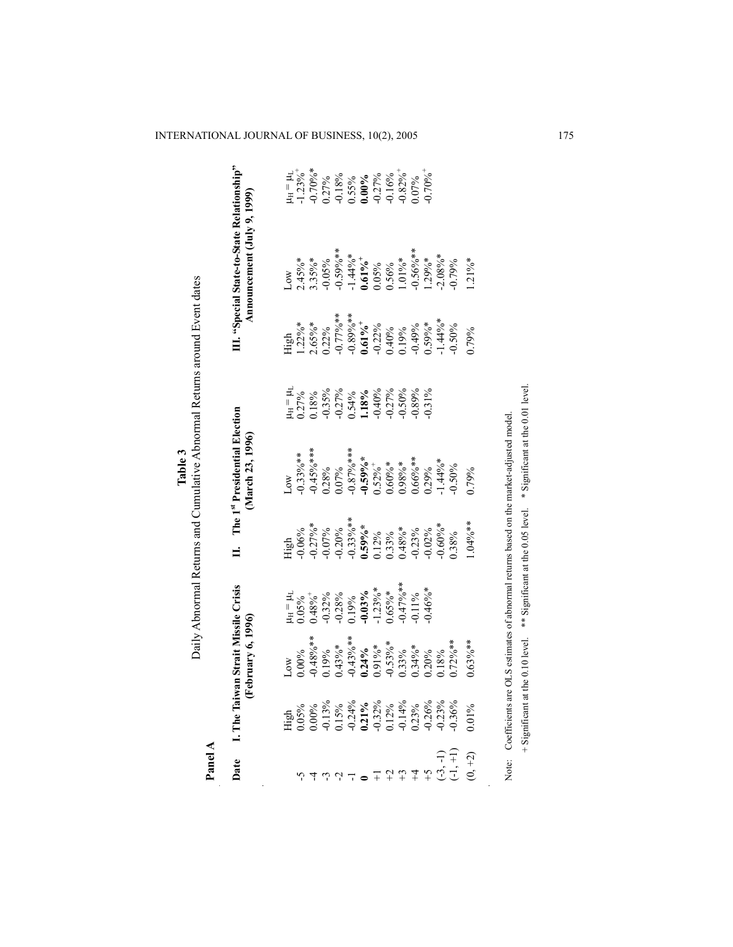| Panel A   |            |                                                                                 |            |            | Daily Abnormal Returns and Cumulative Abnormal Returns around Event dates |                                                                                                                                                                                                  |                                                                                                                                                          |                                                                                          |                                                                                                 |
|-----------|------------|---------------------------------------------------------------------------------|------------|------------|---------------------------------------------------------------------------|--------------------------------------------------------------------------------------------------------------------------------------------------------------------------------------------------|----------------------------------------------------------------------------------------------------------------------------------------------------------|------------------------------------------------------------------------------------------|-------------------------------------------------------------------------------------------------|
| Date      | I. The Tai | wan Strait Missile Crisis<br>February 6, 1996)                                  |            | ⊨          | The 1st Presidential Election<br>(March 23, 1996)                         |                                                                                                                                                                                                  |                                                                                                                                                          | III. "Special State-to-State Relationship"<br>Announcement (July 9, 1999)                |                                                                                                 |
|           |            | 20M                                                                             |            |            | $\infty$                                                                  |                                                                                                                                                                                                  | ligh                                                                                                                                                     | $\infty$                                                                                 |                                                                                                 |
|           |            | 0.00%                                                                           |            |            |                                                                           |                                                                                                                                                                                                  |                                                                                                                                                          |                                                                                          |                                                                                                 |
|           |            |                                                                                 |            |            |                                                                           |                                                                                                                                                                                                  |                                                                                                                                                          |                                                                                          |                                                                                                 |
|           |            |                                                                                 |            |            |                                                                           |                                                                                                                                                                                                  |                                                                                                                                                          |                                                                                          |                                                                                                 |
|           |            |                                                                                 |            |            |                                                                           |                                                                                                                                                                                                  |                                                                                                                                                          |                                                                                          |                                                                                                 |
|           |            | $-0.48\%$ **<br>0.19%<br>0.19%**<br>0.43%**<br>0.19%***<br>0.153%***<br>0.0.20% |            |            |                                                                           | $H = 14.7\%$<br>$0.27\%$<br>$0.35\%$<br>$0.35\%$<br>$0.40\%$<br>$0.54\%$<br>$0.54\%$<br>$0.54\%$<br>$0.54\%$<br>$0.54\%$<br>$0.54\%$<br>$0.54\%$<br>$0.54\%$<br>$0.54\%$<br>$0.54\%$<br>$0.54\%$ | $1.22\%$ *<br>$2.65\%$ *<br>$0.77\%$ **<br>$0.000$<br>$0.0000$<br>$0.0000$<br>$0.0000$<br>$0.00000$<br>$0.00000$<br>$0.00000$<br>$0.00000$<br>$0.000000$ | $2.45\%$ *<br>3.35%*<br>-0.059%**<br>-1.44%*<br>0.05%%<br>0.05%**<br>1.29%**<br>-0.05%** | $\mu$ H = $\mu$ <sub>1</sub><br>-1.23%<br>-0.70%%<br>0.27% 0.83%<br>0.00%% 0.00%<br>0.00% 0.00% |
|           |            |                                                                                 |            |            |                                                                           |                                                                                                                                                                                                  |                                                                                                                                                          |                                                                                          |                                                                                                 |
|           |            |                                                                                 |            |            |                                                                           |                                                                                                                                                                                                  |                                                                                                                                                          |                                                                                          |                                                                                                 |
|           |            |                                                                                 |            |            |                                                                           |                                                                                                                                                                                                  |                                                                                                                                                          |                                                                                          |                                                                                                 |
|           |            |                                                                                 |            |            |                                                                           |                                                                                                                                                                                                  |                                                                                                                                                          |                                                                                          |                                                                                                 |
|           |            |                                                                                 |            |            |                                                                           |                                                                                                                                                                                                  |                                                                                                                                                          |                                                                                          |                                                                                                 |
|           |            |                                                                                 | $0.46\%$ * |            |                                                                           |                                                                                                                                                                                                  |                                                                                                                                                          |                                                                                          | $0.70\%$ <sup>+</sup>                                                                           |
|           |            |                                                                                 |            |            |                                                                           |                                                                                                                                                                                                  |                                                                                                                                                          |                                                                                          |                                                                                                 |
|           |            |                                                                                 |            |            |                                                                           |                                                                                                                                                                                                  |                                                                                                                                                          |                                                                                          |                                                                                                 |
| $(0, +2)$ | $0.01\%$   | $0.63\%$ **                                                                     |            | $.04\%$ ** | 06621                                                                     |                                                                                                                                                                                                  | 06621                                                                                                                                                    | $.21\%$ *                                                                                |                                                                                                 |
|           |            |                                                                                 |            |            |                                                                           |                                                                                                                                                                                                  |                                                                                                                                                          |                                                                                          |                                                                                                 |

**Table 3**

Note: Coefficients are OLS estimates of abnormal returns based on the market-adjusted model. Note: Coefficients are OLS estimates of abnormal returns based on the market-adjusted model. + Significant at the 0.10 level. \*\* Significant at the 0.05 level. \* Significant at the 0.01 level. + Significant at the 0.10 level. \*\* Significant at the 0.05 level. \* Significant at the 0.01 level.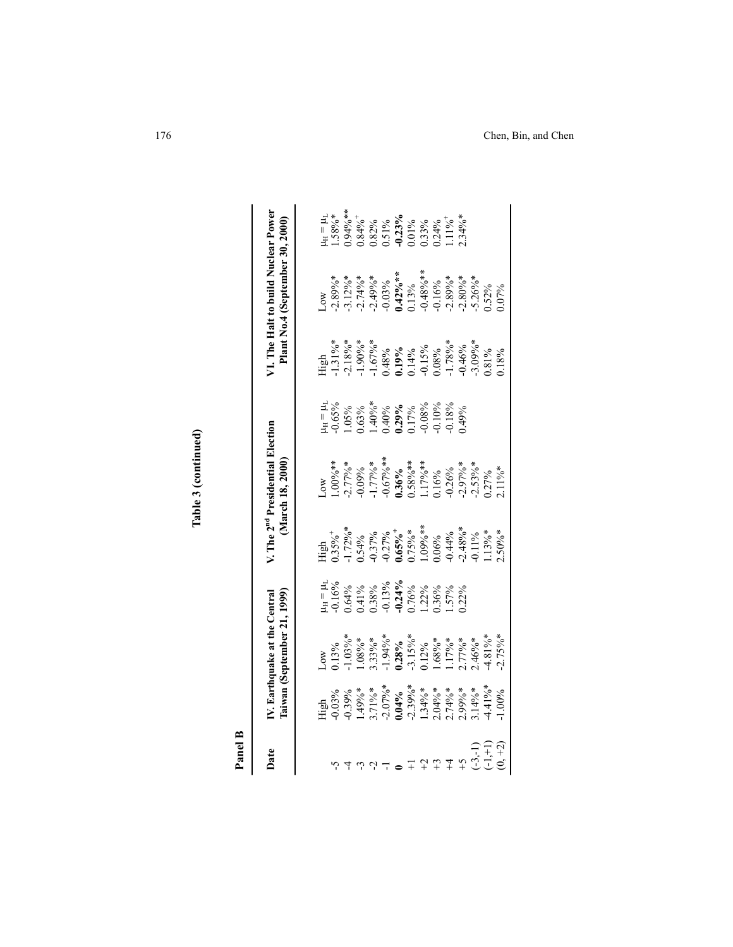| Panel B                                                                      |                                                                                                                                                                                                                                                             |                                                                          |                                                                  |                                                                                                                           |                                                                                                                                                                                   |                                                                                                                                                                           |                                                                                                                                                                                                                                                                                 |
|------------------------------------------------------------------------------|-------------------------------------------------------------------------------------------------------------------------------------------------------------------------------------------------------------------------------------------------------------|--------------------------------------------------------------------------|------------------------------------------------------------------|---------------------------------------------------------------------------------------------------------------------------|-----------------------------------------------------------------------------------------------------------------------------------------------------------------------------------|---------------------------------------------------------------------------------------------------------------------------------------------------------------------------|---------------------------------------------------------------------------------------------------------------------------------------------------------------------------------------------------------------------------------------------------------------------------------|
| Date                                                                         | Taiwan (September 21, 1999)<br>V. Earthquake at the Central                                                                                                                                                                                                 |                                                                          | V. The 2 <sup>nd</sup> Presidential Election<br>(March 18, 2000) |                                                                                                                           |                                                                                                                                                                                   | <b>71.</b> The Halt to build Nuclear Power<br>Plant No.4 (September 30, 2000)                                                                                             |                                                                                                                                                                                                                                                                                 |
|                                                                              |                                                                                                                                                                                                                                                             |                                                                          |                                                                  |                                                                                                                           |                                                                                                                                                                                   |                                                                                                                                                                           |                                                                                                                                                                                                                                                                                 |
|                                                                              | $[0.13\%^*_{00}$\n0.13\%^*_{00}$\n1.103\%^*_{00}$\n1.103\%^*_{00}$\n1.103\%^*_{00}$\n1.103\%^*_{00}$\n1.104\%^*_{00}$\n1.104\%^*_{00}$\n1.104\%^*_{00}$\n1.104\%^*_{00}$\n1.104\%^*_{00}$\n1.104\%^*_{00}$\n1.104\%^*_{00}$\n1.104\%^*_{00}$\n1.104\%^*_{0$ | 4 = 4<br>0.16%<br>0.64%<br>0.13%% 0.13%%<br>0.12%% 0.12%%<br>0.22% 0.12% |                                                                  | $H = 14$<br>$H = 0.65%$<br>$0.65%$<br>$0.63%$<br>$0.40%$<br>$0.40%$<br>$0.40%$<br>$0.8%$<br>$0.17%$<br>$0.18%$<br>$0.18%$ | $\overline{41}$ gh<br>$-1.318\%$<br>$-2.189\%$<br>$-1.67\%$<br>$-1.67\%$<br>$-1.99\%$<br>$-1.99\%$<br>$-1.19\%$<br>$-1.78\%$<br>$-1.78\%$<br>$-0.46\%$<br>$-0.46\%$<br>$-0.309\%$ | $30\%$<br>$2.89\%$<br>$3.12\%$<br>$3.12\%$<br>$3.149\%$<br>$3.149\%$<br>$3.149\%$<br>$3.149\%$<br>$3.149\%$<br>$3.149\%$<br>$3.149\%$<br>$3.15\%$<br>$3.15\%$<br>$3.15\%$ | $\begin{array}{l} \n 41 = 141.88\%\\ \n 1.58\%\\ \n 1.58\%\\ \n 1.394\%\\ \n 1.394\%\\ \n 1.394\%\\ \n 1.395\%\\ \n 1.396\%\\ \n 1.397\%\\ \n 1.337\%\\ \n 1.337\%\\ \n 1.11\%\\ \n 1.12\%\\ \n 1.13\%\\ \n 1.13\%\\ \n 1.13\%\\ \n 1.13\%\\ \n 1.13\%\\ \n 1.13\%\\ \n 1.13\%$ |
|                                                                              |                                                                                                                                                                                                                                                             |                                                                          |                                                                  |                                                                                                                           |                                                                                                                                                                                   |                                                                                                                                                                           |                                                                                                                                                                                                                                                                                 |
|                                                                              |                                                                                                                                                                                                                                                             |                                                                          |                                                                  |                                                                                                                           |                                                                                                                                                                                   |                                                                                                                                                                           |                                                                                                                                                                                                                                                                                 |
|                                                                              |                                                                                                                                                                                                                                                             |                                                                          |                                                                  |                                                                                                                           |                                                                                                                                                                                   |                                                                                                                                                                           |                                                                                                                                                                                                                                                                                 |
|                                                                              |                                                                                                                                                                                                                                                             |                                                                          |                                                                  |                                                                                                                           |                                                                                                                                                                                   |                                                                                                                                                                           |                                                                                                                                                                                                                                                                                 |
|                                                                              |                                                                                                                                                                                                                                                             |                                                                          |                                                                  |                                                                                                                           |                                                                                                                                                                                   |                                                                                                                                                                           |                                                                                                                                                                                                                                                                                 |
|                                                                              |                                                                                                                                                                                                                                                             |                                                                          |                                                                  |                                                                                                                           |                                                                                                                                                                                   |                                                                                                                                                                           |                                                                                                                                                                                                                                                                                 |
|                                                                              |                                                                                                                                                                                                                                                             |                                                                          |                                                                  |                                                                                                                           |                                                                                                                                                                                   |                                                                                                                                                                           |                                                                                                                                                                                                                                                                                 |
| $\begin{array}{c}\n\pm \\ \uparrow \\ \downarrow \\ \downarrow\n\end{array}$ |                                                                                                                                                                                                                                                             |                                                                          |                                                                  |                                                                                                                           |                                                                                                                                                                                   |                                                                                                                                                                           |                                                                                                                                                                                                                                                                                 |
|                                                                              |                                                                                                                                                                                                                                                             |                                                                          |                                                                  |                                                                                                                           |                                                                                                                                                                                   |                                                                                                                                                                           |                                                                                                                                                                                                                                                                                 |
| $\zeta_+$                                                                    |                                                                                                                                                                                                                                                             |                                                                          |                                                                  |                                                                                                                           |                                                                                                                                                                                   |                                                                                                                                                                           |                                                                                                                                                                                                                                                                                 |
|                                                                              |                                                                                                                                                                                                                                                             |                                                                          |                                                                  |                                                                                                                           |                                                                                                                                                                                   |                                                                                                                                                                           |                                                                                                                                                                                                                                                                                 |
| $(-3,-1)$<br>$(-1,+1)$<br>$(0, +2)$                                          |                                                                                                                                                                                                                                                             |                                                                          |                                                                  |                                                                                                                           |                                                                                                                                                                                   |                                                                                                                                                                           |                                                                                                                                                                                                                                                                                 |
|                                                                              |                                                                                                                                                                                                                                                             |                                                                          |                                                                  |                                                                                                                           |                                                                                                                                                                                   |                                                                                                                                                                           |                                                                                                                                                                                                                                                                                 |

Table 3 (continued) **Table 3 (continued)**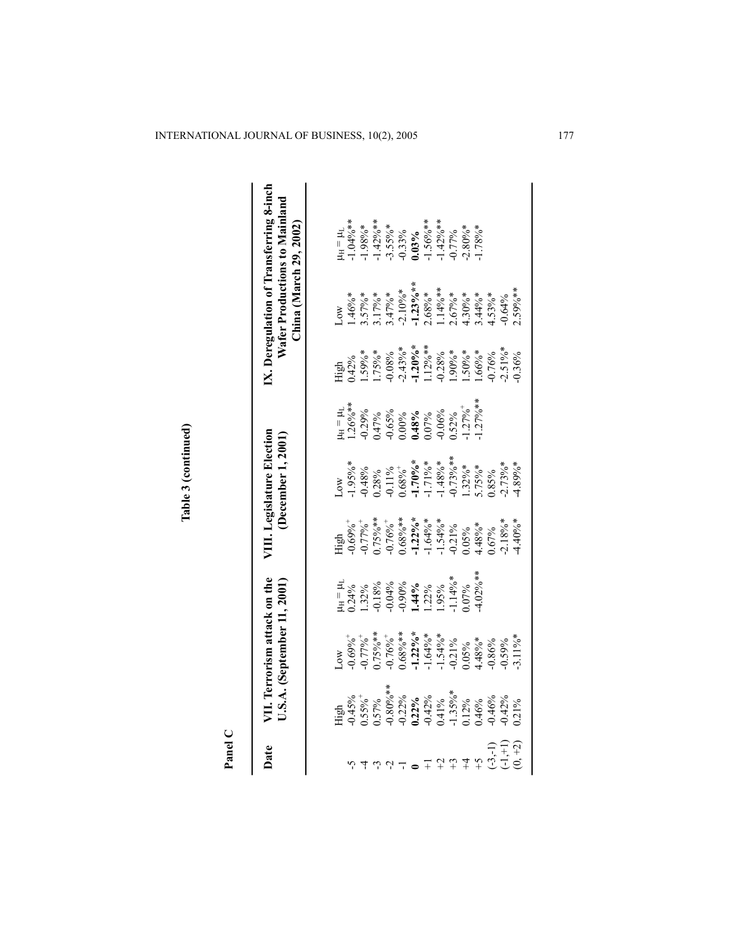| vate VII. Terrorism attack on the<br>U.S.A. (September 11, 2001)                               |                                   |                                                                                          |                                                                            | VIII. Legislature Election<br>(December 1, 2001)                                                                |                                                                      |                                                                         | China (March 29, 2002)                                                                                                                                                                                                                                                               | IX. Deregulation of Transferring 8-inch<br>Wafer Productions to Mainland                            |
|------------------------------------------------------------------------------------------------|-----------------------------------|------------------------------------------------------------------------------------------|----------------------------------------------------------------------------|-----------------------------------------------------------------------------------------------------------------|----------------------------------------------------------------------|-------------------------------------------------------------------------|--------------------------------------------------------------------------------------------------------------------------------------------------------------------------------------------------------------------------------------------------------------------------------------|-----------------------------------------------------------------------------------------------------|
|                                                                                                | $\boldsymbol{\infty}$             |                                                                                          |                                                                            |                                                                                                                 |                                                                      | ligh                                                                    |                                                                                                                                                                                                                                                                                      |                                                                                                     |
| High<br>0.55%<br>0.57%<br>0.57%<br>0.22%<br>0.22%<br>0.46%<br>0.46%<br>0.46%<br>0.71%<br>0.71% | $0.69\%$ <sup>+</sup>             | $\begin{array}{l} 4_H = \mu_L \\ 0.24\% \\ 1.32\% \end{array}$                           | High $0.69\%$                                                              | $1.95\%$                                                                                                        | $u_{\rm H} = \mu_{\rm L}$<br>1.26%**                                 | $0.42\%$                                                                | $1.46\%$ *                                                                                                                                                                                                                                                                           | $u_H = \mu_L$<br>1.04%**                                                                            |
|                                                                                                | $0.77\%$ <sup>+</sup>             |                                                                                          | $-0.77\%$ <sup>+</sup>                                                     | 0.48%                                                                                                           |                                                                      | $.59\%*$                                                                |                                                                                                                                                                                                                                                                                      |                                                                                                     |
|                                                                                                | $0.75\%$ **                       |                                                                                          |                                                                            |                                                                                                                 | $-0.29%$<br>$-0.65%$<br>$-0.65%$<br>$-0.00%$<br>$-0.00%$<br>$-0.07%$ |                                                                         | $\begin{array}{l} 3.57\%*\\ 3.17\%*\\ 3.17\%*\\ -2.10\%*\\ -1.23\%**\\ -1.23\%*\\ -1.14\%*\\ -1.14\%*\\ -1.14\%*\\ -1.14\%*\\ -1.14\%*\\ -1.14\%*\\ -1.14\%*\\ -1.14\%*\\ -1.14\%*\\ -1.14\%*\\ -1.14\%*\\ -1.14\%*\\ -1.14\%*\\ -1.14\%*\\ -1.14\%*\\ -1.14\%*\\ -1.14\%*\\ -1.14\$ | $-1.98\%$ *<br>$-1.42\%$ *<br>$-3.55\%$ *<br>$-0.33\%$<br>$-1.56\%$ **<br>$-1.56\%$ **<br>$-1.42\%$ |
|                                                                                                | $-0.76\%$ <sup>+</sup>            |                                                                                          |                                                                            |                                                                                                                 |                                                                      |                                                                         |                                                                                                                                                                                                                                                                                      |                                                                                                     |
|                                                                                                |                                   | $-0.18%$ $-0.04%$ $-0.90%$ $-0.90%$ $-0.14%$ $-0.2%$ $-0.14%$ $-0.14%$ $-0.14%$ $-0.14%$ |                                                                            |                                                                                                                 |                                                                      |                                                                         |                                                                                                                                                                                                                                                                                      |                                                                                                     |
|                                                                                                | $0.68\%$ **<br>-1.22%*<br>-1.64%* |                                                                                          |                                                                            |                                                                                                                 |                                                                      |                                                                         |                                                                                                                                                                                                                                                                                      |                                                                                                     |
|                                                                                                |                                   |                                                                                          |                                                                            |                                                                                                                 |                                                                      |                                                                         |                                                                                                                                                                                                                                                                                      |                                                                                                     |
|                                                                                                |                                   |                                                                                          |                                                                            |                                                                                                                 |                                                                      |                                                                         |                                                                                                                                                                                                                                                                                      |                                                                                                     |
|                                                                                                | $0.21\%$                          |                                                                                          |                                                                            |                                                                                                                 | $0.52\%$                                                             |                                                                         |                                                                                                                                                                                                                                                                                      | 0.77%                                                                                               |
|                                                                                                | 0.05%                             | 0.07%                                                                                    | $0.75\%$ **<br>0.76%**<br>0.68%**<br><b>-1.22%</b> **<br>-1.54%*<br>-1.54% | $0.28\%$<br>$-0.11\%$<br>$0.68\%$<br>$-1.70\%$<br>$-1.71\%$<br>$-1.48\%$<br>$-1.48\%$<br>$-0.73\%$<br>$-1.32\%$ | $1.27\%$ <sup>+</sup>                                                | $1.75\%$ *<br>0.08%<br>0.08%**<br>1.20%**<br>1.28%<br>0.028%*<br>1.50%* |                                                                                                                                                                                                                                                                                      | $2.80\%$ *                                                                                          |
|                                                                                                | $4.48\%*$                         | $4.02\%$ **                                                                              | $1.48\%*$                                                                  |                                                                                                                 | $1.27\%$ **                                                          | $1.66\%$ *                                                              |                                                                                                                                                                                                                                                                                      | $1.78\%$ *                                                                                          |
|                                                                                                | 0.86%                             |                                                                                          | 1.67%                                                                      | 0.85%                                                                                                           |                                                                      | 0.76%                                                                   |                                                                                                                                                                                                                                                                                      |                                                                                                     |
|                                                                                                | 0.59%                             |                                                                                          | $2.18\%$ *                                                                 | $2.73\%$ *                                                                                                      |                                                                      | $.2.51\%$ <sup>*</sup>                                                  | 0.64%                                                                                                                                                                                                                                                                                |                                                                                                     |
|                                                                                                | $-3.11\%$ *                       |                                                                                          | $4.40\%$ *                                                                 | $4.89%$ *                                                                                                       |                                                                      |                                                                         | $2.59%**$                                                                                                                                                                                                                                                                            |                                                                                                     |

Table 3 (continued) **Table 3 (continued)**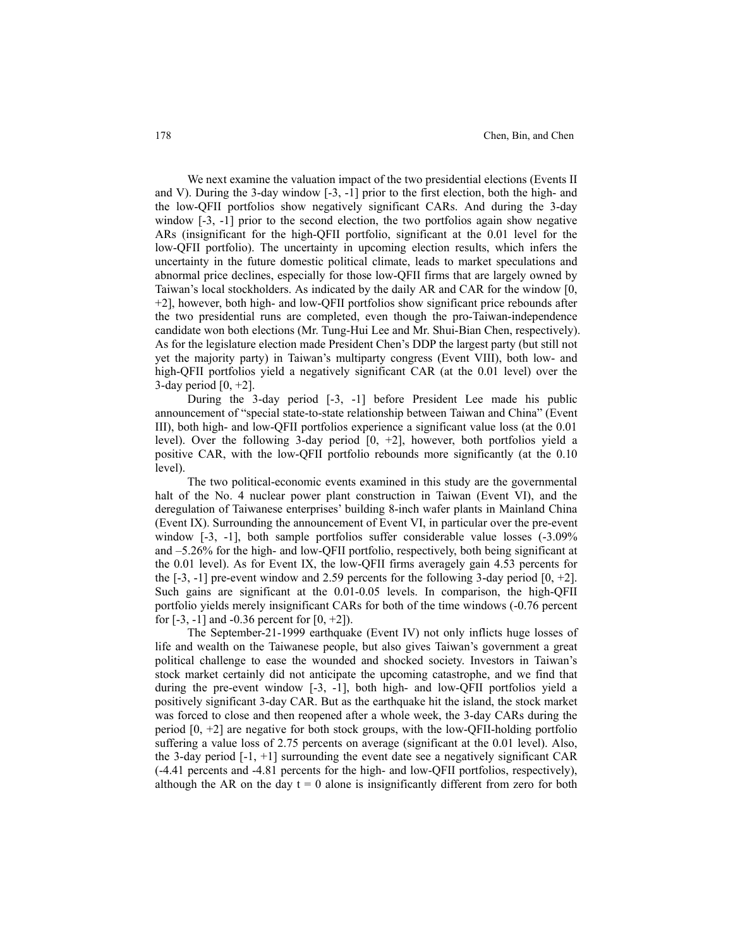We next examine the valuation impact of the two presidential elections (Events II and V). During the 3-day window [-3, -1] prior to the first election, both the high- and the low-QFII portfolios show negatively significant CARs. And during the 3-day window  $[-3, -1]$  prior to the second election, the two portfolios again show negative ARs (insignificant for the high-QFII portfolio, significant at the 0.01 level for the low-QFII portfolio). The uncertainty in upcoming election results, which infers the uncertainty in the future domestic political climate, leads to market speculations and abnormal price declines, especially for those low-QFII firms that are largely owned by Taiwan's local stockholders. As indicated by the daily AR and CAR for the window [0, +2], however, both high- and low-QFII portfolios show significant price rebounds after the two presidential runs are completed, even though the pro-Taiwan-independence candidate won both elections (Mr. Tung-Hui Lee and Mr. Shui-Bian Chen, respectively). As for the legislature election made President Chen's DDP the largest party (but still not yet the majority party) in Taiwan's multiparty congress (Event VIII), both low- and high-QFII portfolios yield a negatively significant CAR (at the 0.01 level) over the 3-day period  $[0, +2]$ .

During the 3-day period [-3, -1] before President Lee made his public announcement of "special state-to-state relationship between Taiwan and China" (Event III), both high- and low-QFII portfolios experience a significant value loss (at the 0.01 level). Over the following 3-day period [0, +2], however, both portfolios yield a positive CAR, with the low-QFII portfolio rebounds more significantly (at the 0.10 level).

The two political-economic events examined in this study are the governmental halt of the No. 4 nuclear power plant construction in Taiwan (Event VI), and the deregulation of Taiwanese enterprises' building 8-inch wafer plants in Mainland China (Event IX). Surrounding the announcement of Event VI, in particular over the pre-event window  $[-3, -1]$ , both sample portfolios suffer considerable value losses  $(-3.09\%$ and –5.26% for the high- and low-QFII portfolio, respectively, both being significant at the 0.01 level). As for Event IX, the low-QFII firms averagely gain 4.53 percents for the  $[-3, -1]$  pre-event window and 2.59 percents for the following 3-day period  $[0, +2]$ . Such gains are significant at the 0.01-0.05 levels. In comparison, the high-QFII portfolio yields merely insignificant CARs for both of the time windows (-0.76 percent for  $[-3, -1]$  and  $-0.36$  percent for  $[0, +2]$ ).

The September-21-1999 earthquake (Event IV) not only inflicts huge losses of life and wealth on the Taiwanese people, but also gives Taiwan's government a great political challenge to ease the wounded and shocked society. Investors in Taiwan's stock market certainly did not anticipate the upcoming catastrophe, and we find that during the pre-event window [-3, -1], both high- and low-QFII portfolios yield a positively significant 3-day CAR. But as the earthquake hit the island, the stock market was forced to close and then reopened after a whole week, the 3-day CARs during the period  $[0, +2]$  are negative for both stock groups, with the low-QFII-holding portfolio suffering a value loss of 2.75 percents on average (significant at the 0.01 level). Also, the 3-day period  $[-1, +1]$  surrounding the event date see a negatively significant CAR (-4.41 percents and -4.81 percents for the high- and low-QFII portfolios, respectively), although the AR on the day  $t = 0$  alone is insignificantly different from zero for both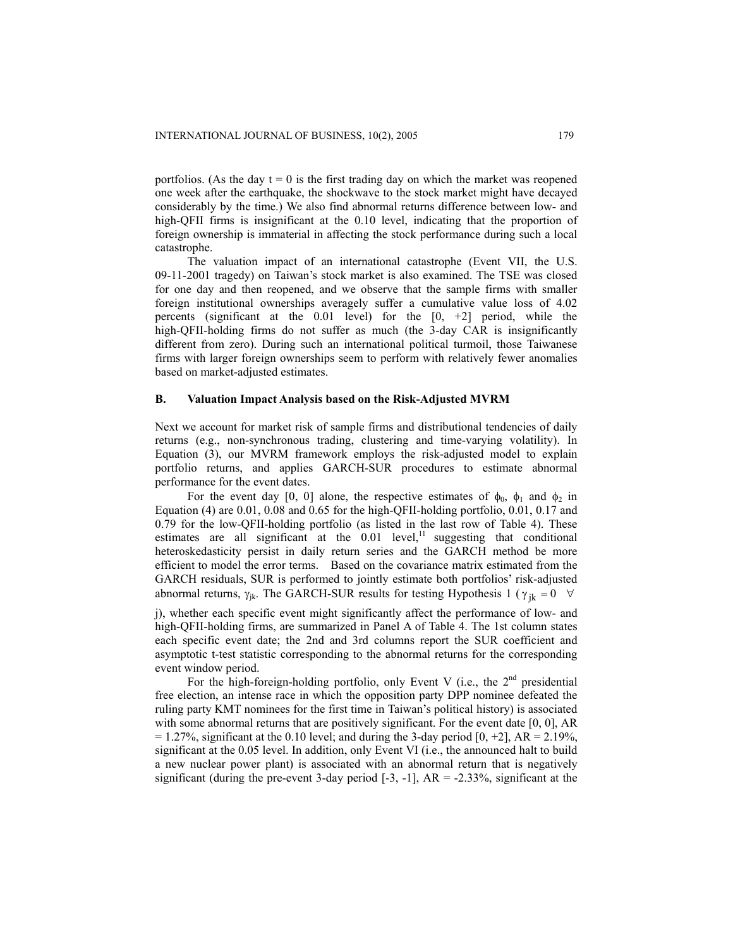portfolios. (As the day  $t = 0$  is the first trading day on which the market was reopened one week after the earthquake, the shockwave to the stock market might have decayed considerably by the time.) We also find abnormal returns difference between low- and high-QFII firms is insignificant at the 0.10 level, indicating that the proportion of foreign ownership is immaterial in affecting the stock performance during such a local catastrophe.

The valuation impact of an international catastrophe (Event VII, the U.S. 09-11-2001 tragedy) on Taiwan's stock market is also examined. The TSE was closed for one day and then reopened, and we observe that the sample firms with smaller foreign institutional ownerships averagely suffer a cumulative value loss of 4.02 percents (significant at the  $0.01$  level) for the  $[0, +2]$  period, while the high-QFII-holding firms do not suffer as much (the 3-day CAR is insignificantly different from zero). During such an international political turmoil, those Taiwanese firms with larger foreign ownerships seem to perform with relatively fewer anomalies based on market-adjusted estimates.

#### **B. Valuation Impact Analysis based on the Risk-Adjusted MVRM**

Next we account for market risk of sample firms and distributional tendencies of daily returns (e.g., non-synchronous trading, clustering and time-varying volatility). In Equation (3), our MVRM framework employs the risk-adjusted model to explain portfolio returns, and applies GARCH-SUR procedures to estimate abnormal performance for the event dates.

For the event day [0, 0] alone, the respective estimates of  $\phi_0$ ,  $\phi_1$  and  $\phi_2$  in Equation (4) are 0.01, 0.08 and 0.65 for the high-QFII-holding portfolio, 0.01, 0.17 and 0.79 for the low-QFII-holding portfolio (as listed in the last row of Table 4). These estimates are all significant at the  $0.01$  level,<sup>11</sup> suggesting that conditional heteroskedasticity persist in daily return series and the GARCH method be more efficient to model the error terms. Based on the covariance matrix estimated from the GARCH residuals, SUR is performed to jointly estimate both portfolios' risk-adjusted abnormal returns,  $\gamma_{jk}$ . The GARCH-SUR results for testing Hypothesis 1 ( $\gamma_{jk} = 0 \quad \forall$ 

j), whether each specific event might significantly affect the performance of low- and high-QFII-holding firms, are summarized in Panel A of Table 4. The 1st column states each specific event date; the 2nd and 3rd columns report the SUR coefficient and asymptotic t-test statistic corresponding to the abnormal returns for the corresponding event window period.

For the high-foreign-holding portfolio, only Event V (i.e., the  $2<sup>nd</sup>$  presidential free election, an intense race in which the opposition party DPP nominee defeated the ruling party KMT nominees for the first time in Taiwan's political history) is associated with some abnormal returns that are positively significant. For the event date [0, 0], AR  $= 1.27\%$ , significant at the 0.10 level; and during the 3-day period [0, +2], AR = 2.19%, significant at the 0.05 level. In addition, only Event VI (i.e., the announced halt to build a new nuclear power plant) is associated with an abnormal return that is negatively significant (during the pre-event 3-day period  $[-3, -1]$ ,  $AR = -2.33\%$ , significant at the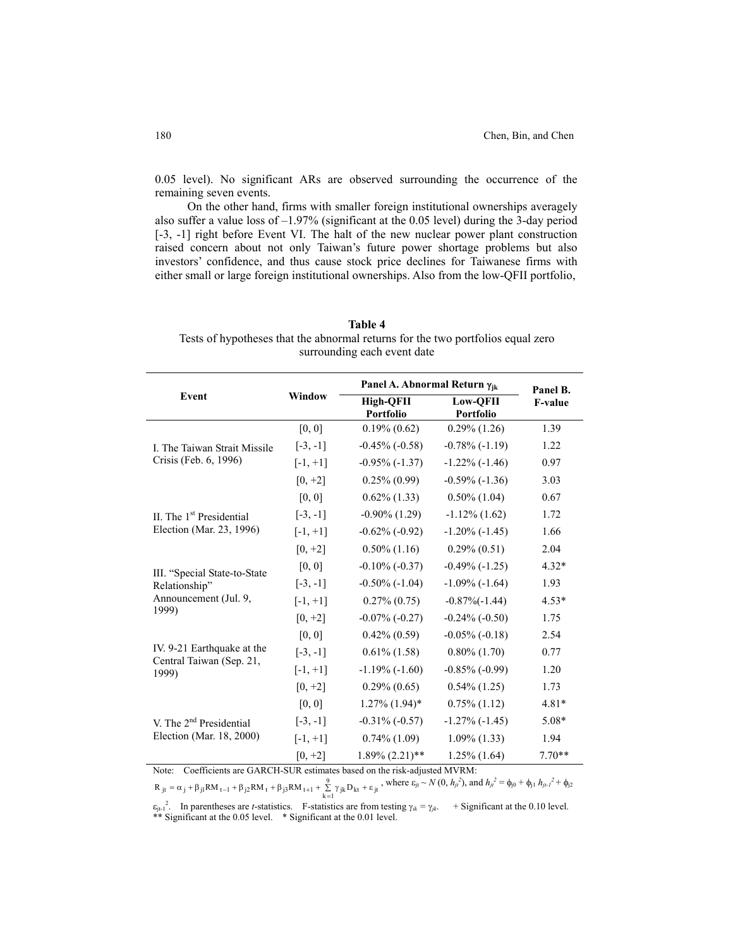0.05 level). No significant ARs are observed surrounding the occurrence of the remaining seven events.

On the other hand, firms with smaller foreign institutional ownerships averagely also suffer a value loss of  $-1.97\%$  (significant at the 0.05 level) during the 3-day period [-3, -1] right before Event VI. The halt of the new nuclear power plant construction raised concern about not only Taiwan's future power shortage problems but also investors' confidence, and thus cause stock price declines for Taiwanese firms with either small or large foreign institutional ownerships. Also from the low-QFII portfolio,

| <b>Table 4</b>                                                                  |
|---------------------------------------------------------------------------------|
| Tests of hypotheses that the abnormal returns for the two portfolios equal zero |
| surrounding each event date                                                     |

|                                     |            | Panel A. Abnormal Return Yik |                              | Panel B.       |
|-------------------------------------|------------|------------------------------|------------------------------|----------------|
| Event                               | Window     | High-OFII<br>Portfolio       | <b>Low-OFII</b><br>Portfolio | <b>F-value</b> |
|                                     | [0, 0]     | $0.19\%$ $(0.62)$            | $0.29\%$ (1.26)              | 1.39           |
| L. The Taiwan Strait Missile        | $[-3, -1]$ | $-0.45\%$ $(-0.58)$          | $-0.78\%$ ( $-1.19$ )        | 1.22           |
| Crisis (Feb. 6, 1996)               | $[-1, +1]$ | $-0.95\%$ $(-1.37)$          | $-1.22\%$ ( $-1.46$ )        | 0.97           |
|                                     | $[0, +2]$  | $0.25\%$ $(0.99)$            | $-0.59\%$ $(-1.36)$          | 3.03           |
|                                     | [0, 0]     | $0.62\%$ (1.33)              | $0.50\%$ (1.04)              | 0.67           |
| II. The $1st$ Presidential          | $[-3, -1]$ | $-0.90\%$ (1.29)             | $-1.12\%$ (1.62)             | 1.72           |
| Election (Mar. 23, 1996)            | $[-1, +1]$ | $-0.62\%$ $(-0.92)$          | $-1.20\%$ ( $-1.45$ )        | 1.66           |
|                                     | $[0, +2]$  | $0.50\%$ (1.16)              | $0.29\% (0.51)$              | 2.04           |
| III. "Special State-to-State        | [0, 0]     | $-0.10\%$ ( $-0.37$ )        | $-0.49\%$ $(-1.25)$          | $4.32*$        |
| Relationship"                       | $[-3, -1]$ | $-0.50\%$ ( $-1.04$ )        | $-1.09\%$ ( $-1.64$ )        | 1.93           |
| Announcement (Jul. 9,               | $[-1, +1]$ | $0.27\%$ $(0.75)$            | $-0.87\%(-1.44)$             | $4.53*$        |
| 1999)                               | $[0, +2]$  | $-0.07\%$ $(-0.27)$          | $-0.24\%$ $(-0.50)$          | 1.75           |
|                                     | [0, 0]     | $0.42\%$ $(0.59)$            | $-0.05\%$ ( $-0.18$ )        | 2.54           |
| IV. 9-21 Earthquake at the          | $[-3, -1]$ | $0.61\%$ (1.58)              | $0.80\%$ $(1.70)$            | 0.77           |
| Central Taiwan (Sep. 21,<br>1999)   | $[-1, +1]$ | $-1.19\%$ ( $-1.60$ )        | $-0.85\%$ ( $-0.99$ )        | 1.20           |
|                                     | $[0, +2]$  | $0.29\% (0.65)$              | $0.54\%$ (1.25)              | 1.73           |
|                                     | [0, 0]     | $1.27\%$ $(1.94)$ *          | $0.75\%$ (1.12)              | $4.81*$        |
| V. The 2 <sup>nd</sup> Presidential | $[-3, -1]$ | $-0.31\%$ ( $-0.57$ )        | $-1.27\%$ $(-1.45)$          | 5.08*          |
| Election (Mar. 18, 2000)            | $[-1, +1]$ | $0.74\%$ (1.09)              | $1.09\%$ (1.33)              | 1.94           |
|                                     | $[0, +2]$  | $1.89\%$ $(2.21)$ **         | $1.25\%$ (1.64)              | $7.70**$       |

Note:Coefficients are GARCH-SUR estimates based on the risk-adjusted MVRM:

9<br>Σγ<sub>jk</sub> D<sub>kt</sub> + ε<sub>jt</sub>  $R_{jt} = \alpha_j + \beta_{j1}RM_{t-1} + \beta_{j2}RM_t + \beta_{j3}RM_{t+1} + \sum_{k=1}^{9} \gamma_{jk}D_{kt} + \varepsilon_{jt}$ , where  $\varepsilon_{jt} \sim N(0, h_{jt}^2)$ , and  $h_{jt}^2 = \phi_{j0} + \phi_{j1}h_{jt-1}^2 + \phi_{j2}$ 

 $\varepsilon_{i-1}$ <sup>2</sup>. In parentheses are *t*-statistics. F-statistics are from testing  $\gamma_{ik} = \gamma_{jk}$ . + Significant at the 0.10 level. \*\* Significant at the 0.05 level. \* Significant at the 0.01 level.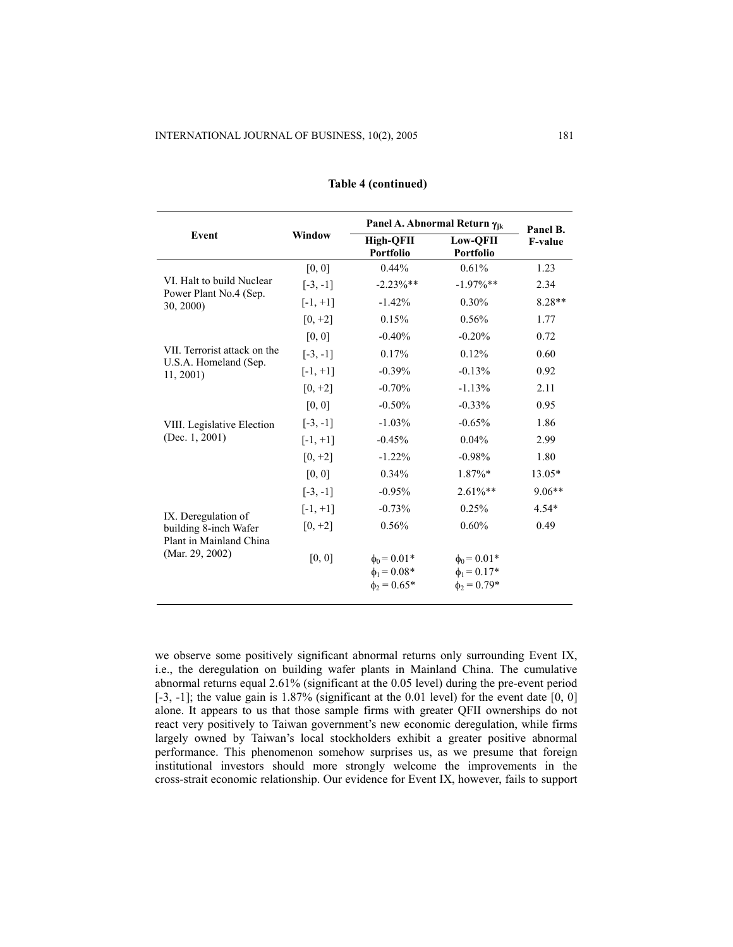|                                            |            |                                                          | Panel A. Abnormal Return $\gamma_{ik}$                   | Panel B.       |
|--------------------------------------------|------------|----------------------------------------------------------|----------------------------------------------------------|----------------|
| Event                                      | Window     | High-OFII<br>Portfolio                                   | <b>Low-OFII</b><br>Portfolio                             | <b>F-value</b> |
|                                            | [0, 0]     | $0.44\%$                                                 | 0.61%                                                    | 1.23           |
| VI. Halt to build Nuclear                  | $[-3, -1]$ | $-2.23\%$ **                                             | $-1.97\%$ **                                             | 2.34           |
| Power Plant No.4 (Sep.<br>30, 2000)        | $[-1, +1]$ | $-1.42%$                                                 | 0.30%                                                    | $8.28**$       |
|                                            | $[0, +2]$  | 0.15%                                                    | 0.56%                                                    | 1.77           |
|                                            | [0, 0]     | $-0.40%$                                                 | $-0.20%$                                                 | 0.72           |
| VII. Terrorist attack on the               | $[-3, -1]$ | 0.17%                                                    | 0.12%                                                    | 0.60           |
| U.S.A. Homeland (Sep.<br>11, 2001          | $[-1, +1]$ | $-0.39%$                                                 | $-0.13%$                                                 | 0.92           |
|                                            | $[0, +2]$  | $-0.70%$                                                 | $-1.13%$                                                 | 2.11           |
|                                            | [0, 0]     | $-0.50%$                                                 | $-0.33%$                                                 | 0.95           |
| VIII. Legislative Election                 | $[-3, -1]$ | $-1.03%$                                                 | $-0.65%$                                                 | 1.86           |
| (Dec. $1, 2001$ )                          | $[-1, +1]$ | $-0.45%$                                                 | 0.04%                                                    | 2.99           |
|                                            | $[0, +2]$  | $-1.22%$                                                 | $-0.98%$                                                 | 1.80           |
|                                            | [0, 0]     | 0.34%                                                    | $1.87\%*$                                                | 13.05*         |
|                                            | $[-3, -1]$ | $-0.95%$                                                 | $2.61\%**$                                               | $9.06**$       |
| IX. Deregulation of                        | $[-1, +1]$ | $-0.73%$                                                 | 0.25%                                                    | $4.54*$        |
| building 8-inch Wafer                      | $[0, +2]$  | 0.56%                                                    | 0.60%                                                    | 0.49           |
| Plant in Mainland China<br>(Mar. 29, 2002) | [0, 0]     | $\phi_0 = 0.01*$<br>$\phi_1 = 0.08*$<br>$\phi_2 = 0.65*$ | $\phi_0 = 0.01*$<br>$\phi_1 = 0.17*$<br>$\phi_2 = 0.79*$ |                |

## **Table 4 (continued)**

we observe some positively significant abnormal returns only surrounding Event IX, i.e., the deregulation on building wafer plants in Mainland China. The cumulative abnormal returns equal 2.61% (significant at the 0.05 level) during the pre-event period  $[-3, -1]$ ; the value gain is 1.87% (significant at the 0.01 level) for the event date  $[0, 0]$ alone. It appears to us that those sample firms with greater QFII ownerships do not react very positively to Taiwan government's new economic deregulation, while firms largely owned by Taiwan's local stockholders exhibit a greater positive abnormal performance. This phenomenon somehow surprises us, as we presume that foreign institutional investors should more strongly welcome the improvements in the cross-strait economic relationship. Our evidence for Event IX, however, fails to support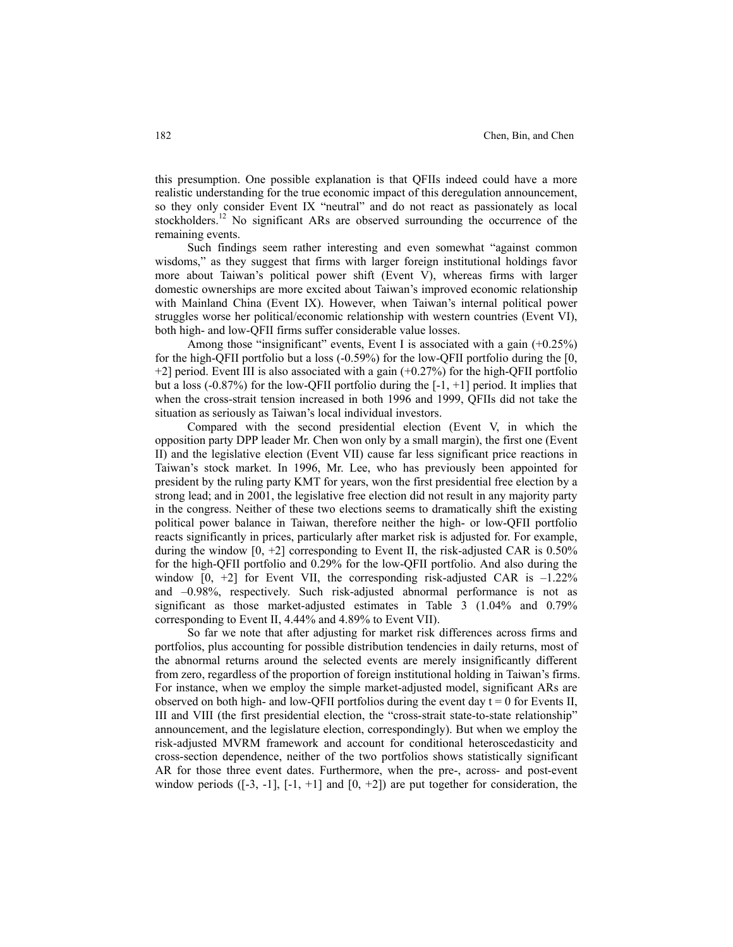this presumption. One possible explanation is that QFIIs indeed could have a more realistic understanding for the true economic impact of this deregulation announcement, so they only consider Event IX "neutral" and do not react as passionately as local stockholders.<sup>12</sup> No significant ARs are observed surrounding the occurrence of the remaining events.

Such findings seem rather interesting and even somewhat "against common wisdoms," as they suggest that firms with larger foreign institutional holdings favor more about Taiwan's political power shift (Event V), whereas firms with larger domestic ownerships are more excited about Taiwan's improved economic relationship with Mainland China (Event IX). However, when Taiwan's internal political power struggles worse her political/economic relationship with western countries (Event VI), both high- and low-QFII firms suffer considerable value losses.

Among those "insignificant" events, Event I is associated with a gain (+0.25%) for the high-QFII portfolio but a loss (-0.59%) for the low-QFII portfolio during the [0,  $+2$ ] period. Event III is also associated with a gain  $(+0.27%)$  for the high-QFII portfolio but a loss  $(-0.87%)$  for the low-QFII portfolio during the  $[-1, +1]$  period. It implies that when the cross-strait tension increased in both 1996 and 1999, QFIIs did not take the situation as seriously as Taiwan's local individual investors.

Compared with the second presidential election (Event V, in which the opposition party DPP leader Mr. Chen won only by a small margin), the first one (Event II) and the legislative election (Event VII) cause far less significant price reactions in Taiwan's stock market. In 1996, Mr. Lee, who has previously been appointed for president by the ruling party KMT for years, won the first presidential free election by a strong lead; and in 2001, the legislative free election did not result in any majority party in the congress. Neither of these two elections seems to dramatically shift the existing political power balance in Taiwan, therefore neither the high- or low-QFII portfolio reacts significantly in prices, particularly after market risk is adjusted for. For example, during the window  $[0, +2]$  corresponding to Event II, the risk-adjusted CAR is 0.50% for the high-QFII portfolio and 0.29% for the low-QFII portfolio. And also during the window  $[0, +2]$  for Event VII, the corresponding risk-adjusted CAR is  $-1.22\%$ and –0.98%, respectively. Such risk-adjusted abnormal performance is not as significant as those market-adjusted estimates in Table 3 (1.04% and 0.79% corresponding to Event II, 4.44% and 4.89% to Event VII).

So far we note that after adjusting for market risk differences across firms and portfolios, plus accounting for possible distribution tendencies in daily returns, most of the abnormal returns around the selected events are merely insignificantly different from zero, regardless of the proportion of foreign institutional holding in Taiwan's firms. For instance, when we employ the simple market-adjusted model, significant ARs are observed on both high- and low-QFII portfolios during the event day  $t = 0$  for Events II, III and VIII (the first presidential election, the "cross-strait state-to-state relationship" announcement, and the legislature election, correspondingly). But when we employ the risk-adjusted MVRM framework and account for conditional heteroscedasticity and cross-section dependence, neither of the two portfolios shows statistically significant AR for those three event dates. Furthermore, when the pre-, across- and post-event window periods  $([-3, -1], [-1, +1]$  and  $[0, +2]$  are put together for consideration, the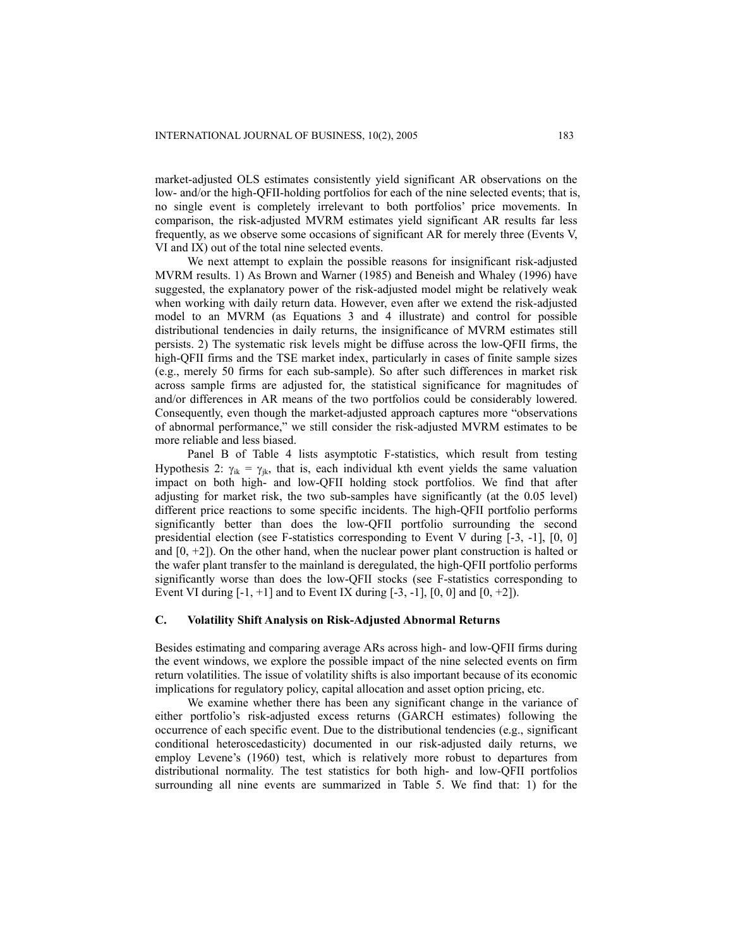market-adjusted OLS estimates consistently yield significant AR observations on the low- and/or the high-QFII-holding portfolios for each of the nine selected events; that is, no single event is completely irrelevant to both portfolios' price movements. In comparison, the risk-adjusted MVRM estimates yield significant AR results far less frequently, as we observe some occasions of significant AR for merely three (Events V, VI and IX) out of the total nine selected events.

We next attempt to explain the possible reasons for insignificant risk-adjusted MVRM results. 1) As Brown and Warner (1985) and Beneish and Whaley (1996) have suggested, the explanatory power of the risk-adjusted model might be relatively weak when working with daily return data. However, even after we extend the risk-adjusted model to an MVRM (as Equations 3 and 4 illustrate) and control for possible distributional tendencies in daily returns, the insignificance of MVRM estimates still persists. 2) The systematic risk levels might be diffuse across the low-QFII firms, the high-QFII firms and the TSE market index, particularly in cases of finite sample sizes (e.g., merely 50 firms for each sub-sample). So after such differences in market risk across sample firms are adjusted for, the statistical significance for magnitudes of and/or differences in AR means of the two portfolios could be considerably lowered. Consequently, even though the market-adjusted approach captures more "observations of abnormal performance," we still consider the risk-adjusted MVRM estimates to be more reliable and less biased.

Panel B of Table 4 lists asymptotic F-statistics, which result from testing Hypothesis 2:  $\gamma_{ik} = \gamma_{ik}$ , that is, each individual kth event yields the same valuation impact on both high- and low-QFII holding stock portfolios. We find that after adjusting for market risk, the two sub-samples have significantly (at the 0.05 level) different price reactions to some specific incidents. The high-QFII portfolio performs significantly better than does the low-QFII portfolio surrounding the second presidential election (see F-statistics corresponding to Event V during [-3, -1], [0, 0] and  $[0, +2]$ ). On the other hand, when the nuclear power plant construction is halted or the wafer plant transfer to the mainland is deregulated, the high-QFII portfolio performs significantly worse than does the low-QFII stocks (see F-statistics corresponding to Event VI during  $[-1, +1]$  and to Event IX during  $[-3, -1]$ ,  $[0, 0]$  and  $[0, +2]$ ).

#### **C. Volatility Shift Analysis on Risk-Adjusted Abnormal Returns**

Besides estimating and comparing average ARs across high- and low-QFII firms during the event windows, we explore the possible impact of the nine selected events on firm return volatilities. The issue of volatility shifts is also important because of its economic implications for regulatory policy, capital allocation and asset option pricing, etc.

We examine whether there has been any significant change in the variance of either portfolio's risk-adjusted excess returns (GARCH estimates) following the occurrence of each specific event. Due to the distributional tendencies (e.g., significant conditional heteroscedasticity) documented in our risk-adjusted daily returns, we employ Levene's (1960) test, which is relatively more robust to departures from distributional normality. The test statistics for both high- and low-QFII portfolios surrounding all nine events are summarized in Table 5. We find that: 1) for the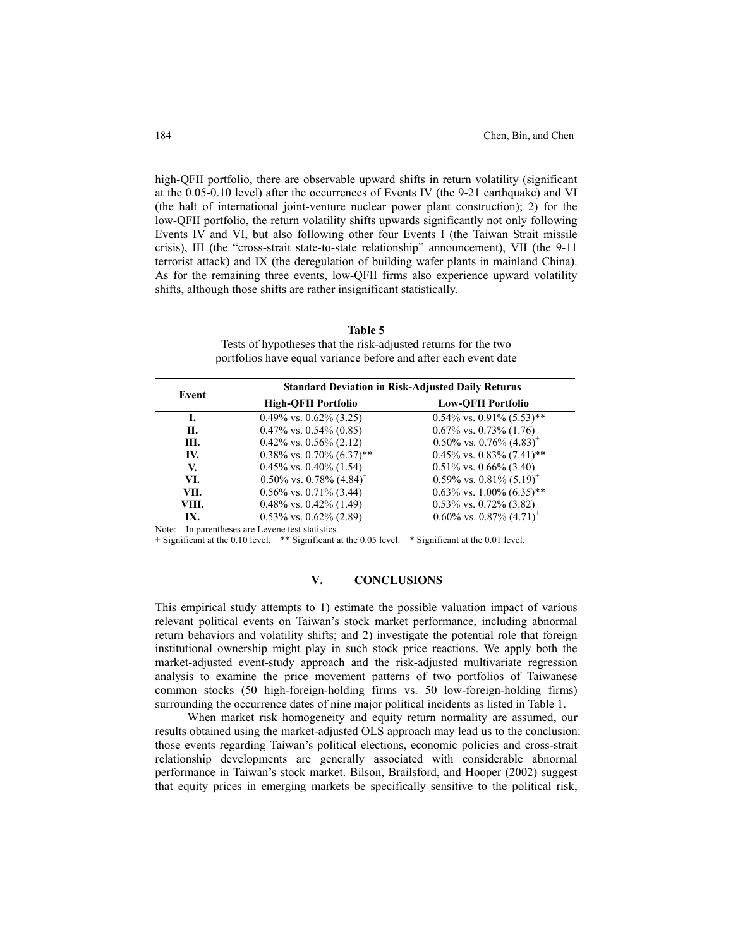high-QFII portfolio, there are observable upward shifts in return volatility (significant at the 0.05-0.10 level) after the occurrences of Events IV (the 9-21 earthquake) and VI (the halt of international joint-venture nuclear power plant construction); 2) for the low-QFII portfolio, the return volatility shifts upwards significantly not only following Events IV and VI, but also following other four Events I (the Taiwan Strait missile crisis), III (the "cross-strait state-to-state relationship" announcement), VII (the 9-11 terrorist attack) and IX (the deregulation of building wafer plants in mainland China). As for the remaining three events, low-QFII firms also experience upward volatility shifts, although those shifts are rather insignificant statistically.

**Table 5**  Tests of hypotheses that the risk-adjusted returns for the two portfolios have equal variance before and after each event date

| Event |                                           | <b>Standard Deviation in Risk-Adjusted Daily Returns</b> |
|-------|-------------------------------------------|----------------------------------------------------------|
|       | <b>High-QFII Portfolio</b>                | <b>Low-OFII Portfolio</b>                                |
| I.    | $0.49\%$ vs. $0.62\%$ (3.25)              | $0.54\%$ vs. $0.91\%$ (5.53)**                           |
| Н.    | $0.47\%$ vs. $0.54\%$ (0.85)              | $0.67\%$ vs. $0.73\%$ (1.76)                             |
| III.  | $0.42\%$ vs. $0.56\%$ (2.12)              | $0.50\%$ vs. $0.76\%$ $(4.83)^{+}$                       |
| IV.   | $0.38\%$ vs. $0.70\%$ $(6.37)$ **         | $0.45\%$ vs. $0.83\%$ (7.41)**                           |
| V.    | $0.45\%$ vs. $0.40\%$ (1.54)              | $0.51\%$ vs. $0.66\%$ (3.40)                             |
| VI.   | $0.50\%$ vs. $0.78\%$ (4.84) <sup>+</sup> | $0.59\%$ vs. $0.81\%$ (5.19) <sup>+</sup>                |
| VII.  | $0.56\%$ vs. $0.71\%$ (3.44)              | $0.63\%$ vs. 1.00% $(6.35)$ **                           |
| VIII. | $0.48\%$ vs. $0.42\%$ (1.49)              | $0.53\%$ vs. $0.72\%$ (3.82)                             |
| IX.   | $0.53\%$ vs. $0.62\%$ (2.89)              | $0.60\%$ vs. $0.87\%$ $(4.71)^+$                         |

Note: In parentheses are Levene test statistics.

+ Significant at the 0.10 level. \*\* Significant at the 0.05 level. \* Significant at the 0.01 level.

#### **V. CONCLUSIONS**

This empirical study attempts to 1) estimate the possible valuation impact of various relevant political events on Taiwan's stock market performance, including abnormal return behaviors and volatility shifts; and 2) investigate the potential role that foreign institutional ownership might play in such stock price reactions. We apply both the market-adjusted event-study approach and the risk-adjusted multivariate regression analysis to examine the price movement patterns of two portfolios of Taiwanese common stocks (50 high-foreign-holding firms vs. 50 low-foreign-holding firms) surrounding the occurrence dates of nine major political incidents as listed in Table 1.

When market risk homogeneity and equity return normality are assumed, our results obtained using the market-adjusted OLS approach may lead us to the conclusion: those events regarding Taiwan's political elections, economic policies and cross-strait relationship developments are generally associated with considerable abnormal performance in Taiwan's stock market. Bilson, Brailsford, and Hooper (2002) suggest that equity prices in emerging markets be specifically sensitive to the political risk,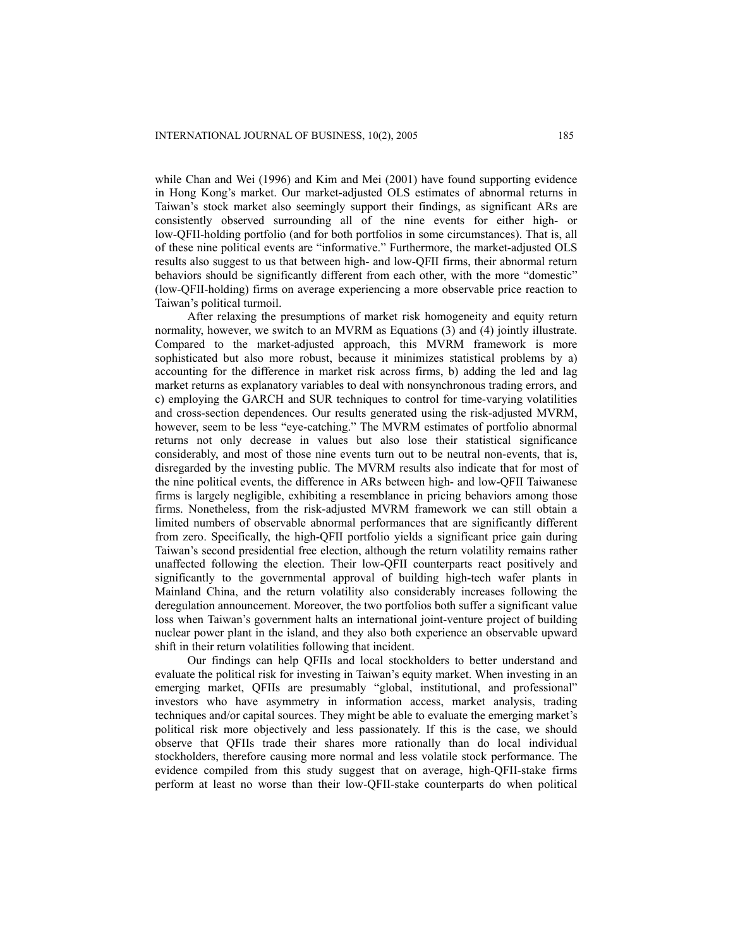while Chan and Wei (1996) and Kim and Mei (2001) have found supporting evidence in Hong Kong's market. Our market-adjusted OLS estimates of abnormal returns in Taiwan's stock market also seemingly support their findings, as significant ARs are consistently observed surrounding all of the nine events for either high- or low-QFII-holding portfolio (and for both portfolios in some circumstances). That is, all of these nine political events are "informative." Furthermore, the market-adjusted OLS results also suggest to us that between high- and low-QFII firms, their abnormal return behaviors should be significantly different from each other, with the more "domestic" (low-QFII-holding) firms on average experiencing a more observable price reaction to Taiwan's political turmoil.

After relaxing the presumptions of market risk homogeneity and equity return normality, however, we switch to an MVRM as Equations (3) and (4) jointly illustrate. Compared to the market-adjusted approach, this MVRM framework is more sophisticated but also more robust, because it minimizes statistical problems by a) accounting for the difference in market risk across firms, b) adding the led and lag market returns as explanatory variables to deal with nonsynchronous trading errors, and c) employing the GARCH and SUR techniques to control for time-varying volatilities and cross-section dependences. Our results generated using the risk-adjusted MVRM, however, seem to be less "eye-catching." The MVRM estimates of portfolio abnormal returns not only decrease in values but also lose their statistical significance considerably, and most of those nine events turn out to be neutral non-events, that is, disregarded by the investing public. The MVRM results also indicate that for most of the nine political events, the difference in ARs between high- and low-QFII Taiwanese firms is largely negligible, exhibiting a resemblance in pricing behaviors among those firms. Nonetheless, from the risk-adjusted MVRM framework we can still obtain a limited numbers of observable abnormal performances that are significantly different from zero. Specifically, the high-QFII portfolio yields a significant price gain during Taiwan's second presidential free election, although the return volatility remains rather unaffected following the election. Their low-QFII counterparts react positively and significantly to the governmental approval of building high-tech wafer plants in Mainland China, and the return volatility also considerably increases following the deregulation announcement. Moreover, the two portfolios both suffer a significant value loss when Taiwan's government halts an international joint-venture project of building nuclear power plant in the island, and they also both experience an observable upward shift in their return volatilities following that incident.

Our findings can help QFIIs and local stockholders to better understand and evaluate the political risk for investing in Taiwan's equity market. When investing in an emerging market, QFIIs are presumably "global, institutional, and professional" investors who have asymmetry in information access, market analysis, trading techniques and/or capital sources. They might be able to evaluate the emerging market's political risk more objectively and less passionately. If this is the case, we should observe that QFIIs trade their shares more rationally than do local individual stockholders, therefore causing more normal and less volatile stock performance. The evidence compiled from this study suggest that on average, high-QFII-stake firms perform at least no worse than their low-QFII-stake counterparts do when political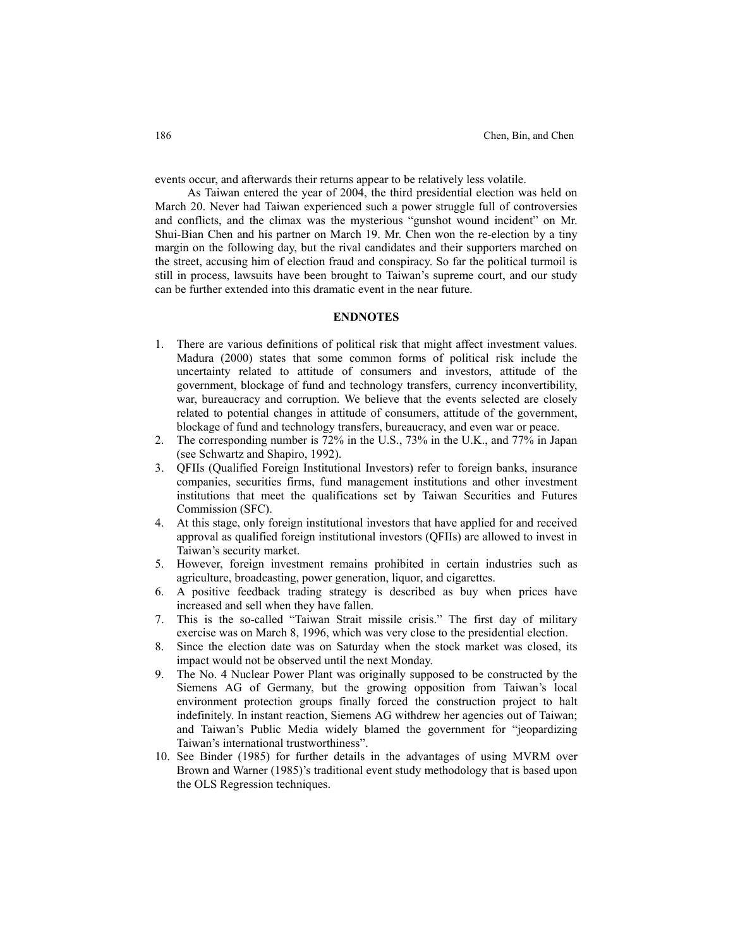events occur, and afterwards their returns appear to be relatively less volatile.

As Taiwan entered the year of 2004, the third presidential election was held on March 20. Never had Taiwan experienced such a power struggle full of controversies and conflicts, and the climax was the mysterious "gunshot wound incident" on Mr. Shui-Bian Chen and his partner on March 19. Mr. Chen won the re-election by a tiny margin on the following day, but the rival candidates and their supporters marched on the street, accusing him of election fraud and conspiracy. So far the political turmoil is still in process, lawsuits have been brought to Taiwan's supreme court, and our study can be further extended into this dramatic event in the near future.

## **ENDNOTES**

- 1. There are various definitions of political risk that might affect investment values. Madura (2000) states that some common forms of political risk include the uncertainty related to attitude of consumers and investors, attitude of the government, blockage of fund and technology transfers, currency inconvertibility, war, bureaucracy and corruption. We believe that the events selected are closely related to potential changes in attitude of consumers, attitude of the government, blockage of fund and technology transfers, bureaucracy, and even war or peace.
- 2. The corresponding number is 72% in the U.S., 73% in the U.K., and 77% in Japan (see Schwartz and Shapiro, 1992).
- 3. QFIIs (Qualified Foreign Institutional Investors) refer to foreign banks, insurance companies, securities firms, fund management institutions and other investment institutions that meet the qualifications set by Taiwan Securities and Futures Commission (SFC).
- 4. At this stage, only foreign institutional investors that have applied for and received approval as qualified foreign institutional investors (QFIIs) are allowed to invest in Taiwan's security market.
- 5. However, foreign investment remains prohibited in certain industries such as agriculture, broadcasting, power generation, liquor, and cigarettes.
- 6. A positive feedback trading strategy is described as buy when prices have increased and sell when they have fallen.
- 7. This is the so-called "Taiwan Strait missile crisis." The first day of military exercise was on March 8, 1996, which was very close to the presidential election.
- 8. Since the election date was on Saturday when the stock market was closed, its impact would not be observed until the next Monday.
- 9. The No. 4 Nuclear Power Plant was originally supposed to be constructed by the Siemens AG of Germany, but the growing opposition from Taiwan's local environment protection groups finally forced the construction project to halt indefinitely. In instant reaction, Siemens AG withdrew her agencies out of Taiwan; and Taiwan's Public Media widely blamed the government for "jeopardizing Taiwan's international trustworthiness".
- 10. See Binder (1985) for further details in the advantages of using MVRM over Brown and Warner (1985)'s traditional event study methodology that is based upon the OLS Regression techniques.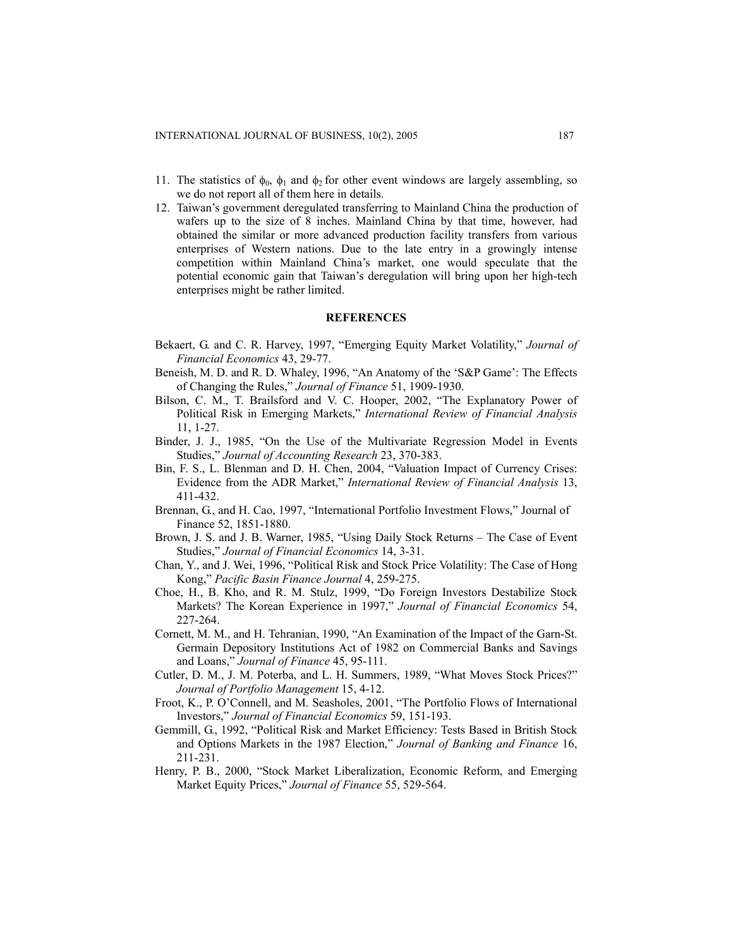- 11. The statistics of  $\phi_0$ ,  $\phi_1$  and  $\phi_2$  for other event windows are largely assembling, so we do not report all of them here in details.
- 12. Taiwan's government deregulated transferring to Mainland China the production of wafers up to the size of 8 inches. Mainland China by that time, however, had obtained the similar or more advanced production facility transfers from various enterprises of Western nations. Due to the late entry in a growingly intense competition within Mainland China's market, one would speculate that the potential economic gain that Taiwan's deregulation will bring upon her high-tech enterprises might be rather limited.

## **REFERENCES**

- Bekaert, G. and C. R. Harvey, 1997, "Emerging Equity Market Volatility," *Journal of Financial Economics* 43, 29-77.
- Beneish, M. D. and R. D. Whaley, 1996, "An Anatomy of the 'S&P Game': The Effects of Changing the Rules," *Journal of Finance* 51, 1909-1930.
- Bilson, C. M., T. Brailsford and V. C. Hooper, 2002, "The Explanatory Power of Political Risk in Emerging Markets," *International Review of Financial Analysis* 11, 1-27.
- Binder, J. J., 1985, "On the Use of the Multivariate Regression Model in Events Studies," *Journal of Accounting Research* 23, 370-383.
- Bin, F. S., L. Blenman and D. H. Chen, 2004, "Valuation Impact of Currency Crises: Evidence from the ADR Market," *International Review of Financial Analysis* 13, 411-432.
- Brennan, G., and H. Cao, 1997, "International Portfolio Investment Flows," Journal of Finance 52, 1851-1880.
- Brown, J. S. and J. B. Warner, 1985, "Using Daily Stock Returns The Case of Event Studies," *Journal of Financial Economics* 14, 3-31.
- Chan, Y., and J. Wei, 1996, "Political Risk and Stock Price Volatility: The Case of Hong Kong," *Pacific Basin Finance Journal* 4, 259-275.
- Choe, H., B. Kho, and [R. M. Stulz,](http://www.cob.ohio-state.edu/fin/faculty/stulz/index.htm) 1999, "Do Foreign Investors Destabilize Stock Markets? The Korean Experience in 1997," *Journal of Financial Economics* 54, 227-264.
- Cornett, M. M., and H. Tehranian, 1990, "An Examination of the Impact of the Garn-St. Germain Depository Institutions Act of 1982 on Commercial Banks and Savings and Loans," *Journal of Finance* 45, 95-111.
- Cutler, D. M., J. M. Poterba, and L. H. Summers, 1989, "What Moves Stock Prices?" *Journal of Portfolio Management* 15, 4-12.
- Froot, K., P. O'Connell, and M. Seasholes, 2001, "The Portfolio Flows of International Investors," *Journal of Financial Economics* 59, 151-193.
- Gemmill, G., 1992, "Political Risk and Market Efficiency: Tests Based in British Stock and Options Markets in the 1987 Election," *Journal of Banking and Finance* 16, 211-231.
- Henry, P. B., 2000, "Stock Market Liberalization, Economic Reform, and Emerging Market Equity Prices," *Journal of Finance* 55, 529-564.